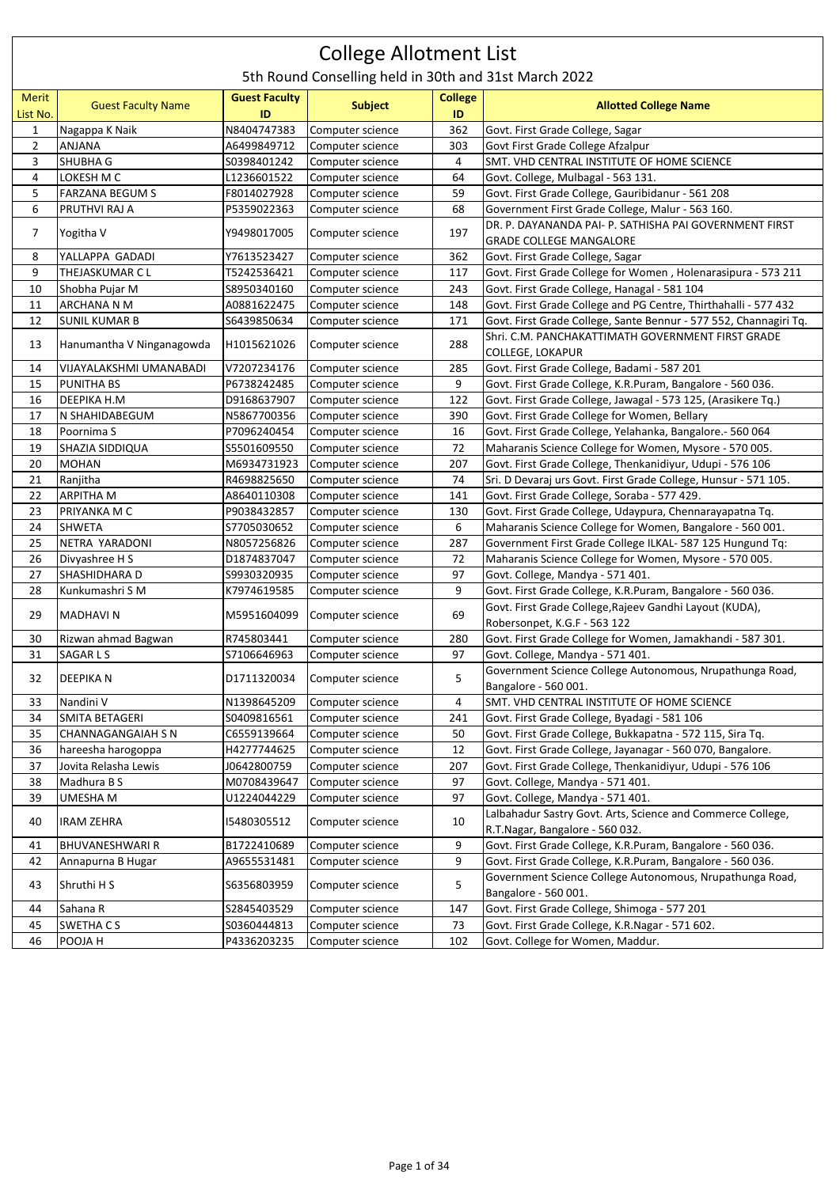## College Allotment List

5th Round Conselling held in 30th and 31st March 2022

| Merit<br>List No. | <b>Guest Faculty Name</b> | <b>Guest Faculty</b><br>ID | <b>Subject</b>   | <b>College</b><br>ID | <b>Allotted College Name</b>                                      |
|-------------------|---------------------------|----------------------------|------------------|----------------------|-------------------------------------------------------------------|
| $\mathbf{1}$      | Nagappa K Naik            | N8404747383                | Computer science | 362                  | Govt. First Grade College, Sagar                                  |
| $\overline{2}$    | ANJANA                    | A6499849712                | Computer science | 303                  | Govt First Grade College Afzalpur                                 |
| 3                 | SHUBHA G                  | S0398401242                | Computer science | 4                    | SMT. VHD CENTRAL INSTITUTE OF HOME SCIENCE                        |
| 4                 | LOKESH M C                | L1236601522                | Computer science | 64                   | Govt. College, Mulbagal - 563 131.                                |
| 5                 | <b>FARZANA BEGUM S</b>    | F8014027928                | Computer science | 59                   | Govt. First Grade College, Gauribidanur - 561 208                 |
| 6                 | PRUTHVI RAJ A             | P5359022363                | Computer science | 68                   | Government First Grade College, Malur - 563 160.                  |
|                   |                           |                            |                  |                      | DR. P. DAYANANDA PAI- P. SATHISHA PAI GOVERNMENT FIRST            |
| 7                 | Yogitha V                 | Y9498017005                | Computer science | 197                  | <b>GRADE COLLEGE MANGALORE</b>                                    |
| 8                 | YALLAPPA GADADI           | Y7613523427                | Computer science | 362                  | Govt. First Grade College, Sagar                                  |
| 9                 | THEJASKUMAR C L           | T5242536421                | Computer science | 117                  | Govt. First Grade College for Women, Holenarasipura - 573 211     |
| 10                | Shobha Pujar M            | S8950340160                | Computer science | 243                  | Govt. First Grade College, Hanagal - 581 104                      |
| 11                | ARCHANA N M               | A0881622475                | Computer science | 148                  | Govt. First Grade College and PG Centre, Thirthahalli - 577 432   |
| 12                | <b>SUNIL KUMAR B</b>      | S6439850634                | Computer science | 171                  | Govt. First Grade College, Sante Bennur - 577 552, Channagiri Tq. |
|                   |                           |                            |                  |                      | Shri. C.M. PANCHAKATTIMATH GOVERNMENT FIRST GRADE                 |
| 13                | Hanumantha V Ninganagowda | H1015621026                | Computer science | 288                  | <b>COLLEGE, LOKAPUR</b>                                           |
| 14                | VIJAYALAKSHMI UMANABADI   | V7207234176                | Computer science | 285                  | Govt. First Grade College, Badami - 587 201                       |
| 15                | PUNITHA BS                | P6738242485                | Computer science | 9                    | Govt. First Grade College, K.R.Puram, Bangalore - 560 036.        |
| 16                | DEEPIKA H.M               | D9168637907                | Computer science | 122                  | Govt. First Grade College, Jawagal - 573 125, (Arasikere Tq.)     |
| 17                | N SHAHIDABEGUM            | N5867700356                | Computer science | 390                  | Govt. First Grade College for Women, Bellary                      |
| 18                | Poornima S                | P7096240454                | Computer science | 16                   | Govt. First Grade College, Yelahanka, Bangalore.- 560 064         |
| 19                | SHAZIA SIDDIQUA           | \$5501609550               | Computer science | 72                   | Maharanis Science College for Women, Mysore - 570 005.            |
| 20                | <b>MOHAN</b>              | M6934731923                | Computer science | 207                  | Govt. First Grade College, Thenkanidiyur, Udupi - 576 106         |
| 21                | Ranjitha                  | R4698825650                | Computer science | 74                   | Sri. D Devaraj urs Govt. First Grade College, Hunsur - 571 105.   |
| 22                | <b>ARPITHA M</b>          | A8640110308                | Computer science | 141                  | Govt. First Grade College, Soraba - 577 429.                      |
| 23                | PRIYANKA M C              | P9038432857                | Computer science | 130                  | Govt. First Grade College, Udaypura, Chennarayapatna Tq.          |
| 24                | <b>SHWETA</b>             | S7705030652                | Computer science | 6                    | Maharanis Science College for Women, Bangalore - 560 001.         |
| 25                | NETRA YARADONI            | N8057256826                | Computer science | 287                  | Government First Grade College ILKAL- 587 125 Hungund Tq:         |
| 26                | Divyashree H S            | D1874837047                | Computer science | 72                   | Maharanis Science College for Women, Mysore - 570 005.            |
| 27                | SHASHIDHARA D             | \$9930320935               | Computer science | 97                   | Govt. College, Mandya - 571 401.                                  |
| 28                | Kunkumashri SM            | K7974619585                | Computer science | 9                    | Govt. First Grade College, K.R.Puram, Bangalore - 560 036.        |
|                   |                           |                            |                  |                      | Govt. First Grade College, Rajeev Gandhi Layout (KUDA),           |
| 29                | <b>MADHAVIN</b>           | M5951604099                | Computer science | 69                   | Robersonpet, K.G.F - 563 122                                      |
| 30                | Rizwan ahmad Bagwan       | R745803441                 | Computer science | 280                  | Govt. First Grade College for Women, Jamakhandi - 587 301.        |
| 31                | SAGAR L S                 | S7106646963                | Computer science | 97                   | Govt. College, Mandya - 571 401.                                  |
|                   |                           |                            |                  |                      | Government Science College Autonomous, Nrupathunga Road,          |
| 32                | DEEPIKA N                 | D1711320034                | Computer science | 5                    | Bangalore - 560 001.                                              |
| 33                | Nandini V                 | N1398645209                | Computer science | 4                    | SMT. VHD CENTRAL INSTITUTE OF HOME SCIENCE                        |
| 34                | SMITA BETAGERI            | \$0409816561               | Computer science | 241                  | Govt. First Grade College, Byadagi - 581 106                      |
| 35                | CHANNAGANGAIAH S N        | C6559139664                | Computer science | 50                   | Govt. First Grade College, Bukkapatna - 572 115, Sira Tq.         |
| 36                | hareesha harogoppa        | H4277744625                | Computer science | 12                   | Govt. First Grade College, Jayanagar - 560 070, Bangalore.        |
| 37                | Jovita Relasha Lewis      | J0642800759                | Computer science | 207                  | Govt. First Grade College, Thenkanidiyur, Udupi - 576 106         |
| 38                | Madhura B S               | M0708439647                | Computer science | 97                   | Govt. College, Mandya - 571 401.                                  |
| 39                | UMESHA M                  | U1224044229                | Computer science | 97                   | Govt. College, Mandya - 571 401.                                  |
|                   |                           |                            |                  |                      | Lalbahadur Sastry Govt. Arts, Science and Commerce College,       |
| 40                | <b>IRAM ZEHRA</b>         | 15480305512                | Computer science | 10                   | R.T.Nagar, Bangalore - 560 032.                                   |
| 41                | BHUVANESHWARI R           | B1722410689                | Computer science | 9                    | Govt. First Grade College, K.R.Puram, Bangalore - 560 036.        |
| 42                | Annapurna B Hugar         | A9655531481                | Computer science | 9                    | Govt. First Grade College, K.R.Puram, Bangalore - 560 036.        |
|                   |                           |                            |                  |                      | Government Science College Autonomous, Nrupathunga Road,          |
| 43                | Shruthi H S               | S6356803959                | Computer science | 5                    | Bangalore - 560 001.                                              |
| 44                | Sahana R                  | S2845403529                | Computer science | 147                  | Govt. First Grade College, Shimoga - 577 201                      |
| 45                | SWETHA CS                 | S0360444813                | Computer science | 73                   | Govt. First Grade College, K.R.Nagar - 571 602.                   |
| 46                | POOJA H                   | P4336203235                | Computer science | 102                  | Govt. College for Women, Maddur.                                  |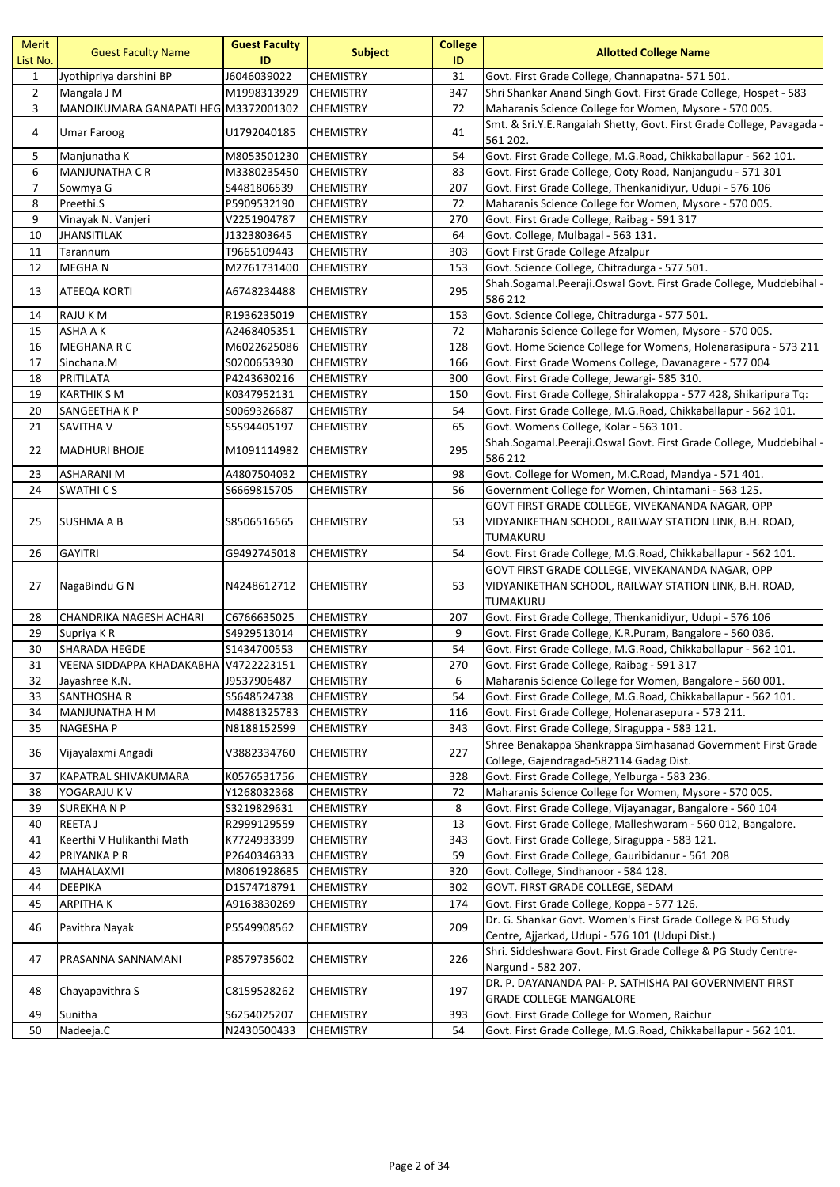| <b>Merit</b><br>List No. | <b>Guest Faculty Name</b>             | <b>Guest Faculty</b><br>ID | <b>Subject</b>   | <b>College</b><br>ID | <b>Allotted College Name</b>                                                                                           |
|--------------------------|---------------------------------------|----------------------------|------------------|----------------------|------------------------------------------------------------------------------------------------------------------------|
| $\mathbf{1}$             | Jyothipriya darshini BP               | J6046039022                | <b>CHEMISTRY</b> | 31                   | Govt. First Grade College, Channapatna- 571 501.                                                                       |
| $\overline{2}$           | Mangala J M                           | M1998313929                | <b>CHEMISTRY</b> | 347                  | Shri Shankar Anand Singh Govt. First Grade College, Hospet - 583                                                       |
| 3                        | MANOJKUMARA GANAPATI HEG M3372001302  |                            | <b>CHEMISTRY</b> | 72                   | Maharanis Science College for Women, Mysore - 570 005.                                                                 |
| 4                        | <b>Umar Faroog</b>                    | U1792040185                | <b>CHEMISTRY</b> | 41                   | Smt. & Sri.Y.E.Rangaiah Shetty, Govt. First Grade College, Pavagada<br>561 202.                                        |
| 5                        | Manjunatha K                          | M8053501230                | <b>CHEMISTRY</b> | 54                   | Govt. First Grade College, M.G.Road, Chikkaballapur - 562 101.                                                         |
| 6                        | <b>MANJUNATHA C R</b>                 | M3380235450                | <b>CHEMISTRY</b> | 83                   | Govt. First Grade College, Ooty Road, Nanjangudu - 571 301                                                             |
| $\overline{7}$           | Sowmya G                              | S4481806539                | <b>CHEMISTRY</b> | 207                  | Govt. First Grade College, Thenkanidiyur, Udupi - 576 106                                                              |
| 8                        | Preethi.S                             | P5909532190                | <b>CHEMISTRY</b> | 72                   | Maharanis Science College for Women, Mysore - 570 005.                                                                 |
| 9                        | Vinayak N. Vanjeri                    | V2251904787                | <b>CHEMISTRY</b> | 270                  | Govt. First Grade College, Raibag - 591 317                                                                            |
| 10                       | <b>JHANSITILAK</b>                    | J1323803645                | <b>CHEMISTRY</b> | 64                   | Govt. College, Mulbagal - 563 131.                                                                                     |
| 11                       | Tarannum                              | T9665109443                | <b>CHEMISTRY</b> | 303                  | Govt First Grade College Afzalpur                                                                                      |
| 12                       | <b>MEGHAN</b>                         | M2761731400                | <b>CHEMISTRY</b> | 153                  | Govt. Science College, Chitradurga - 577 501.                                                                          |
| 13                       | ATEEQA KORTI                          | A6748234488                | <b>CHEMISTRY</b> | 295                  | Shah.Sogamal.Peeraji.Oswal Govt. First Grade College, Muddebihal<br>586 212                                            |
| 14                       | RAJU K M                              | R1936235019                | <b>CHEMISTRY</b> | 153                  | Govt. Science College, Chitradurga - 577 501.                                                                          |
| 15                       | ASHA A K                              | A2468405351                | <b>CHEMISTRY</b> | 72                   | Maharanis Science College for Women, Mysore - 570 005.                                                                 |
| 16                       | <b>MEGHANA R C</b>                    | M6022625086                | <b>CHEMISTRY</b> | 128                  | Govt. Home Science College for Womens, Holenarasipura - 573 211                                                        |
| 17                       | Sinchana.M                            | S0200653930                | <b>CHEMISTRY</b> | 166                  | Govt. First Grade Womens College, Davanagere - 577 004                                                                 |
| 18                       | PRITILATA                             | P4243630216                | <b>CHEMISTRY</b> | 300                  | Govt. First Grade College, Jewargi- 585 310.                                                                           |
| 19                       | <b>KARTHIK S M</b>                    | K0347952131                | <b>CHEMISTRY</b> | 150                  | Govt. First Grade College, Shiralakoppa - 577 428, Shikaripura Tq:                                                     |
| 20                       | SANGEETHA K P                         | S0069326687                | <b>CHEMISTRY</b> | 54                   | Govt. First Grade College, M.G.Road, Chikkaballapur - 562 101.                                                         |
| 21                       | SAVITHA V                             | S5594405197                | <b>CHEMISTRY</b> | 65                   | Govt. Womens College, Kolar - 563 101.                                                                                 |
| 22                       | <b>MADHURI BHOJE</b>                  | M1091114982                | <b>CHEMISTRY</b> | 295                  | Shah.Sogamal.Peeraji.Oswal Govt. First Grade College, Muddebihal<br>586 212                                            |
| 23                       | <b>ASHARANI M</b>                     | A4807504032                | <b>CHEMISTRY</b> | 98                   | Govt. College for Women, M.C.Road, Mandya - 571 401.                                                                   |
| 24                       | <b>SWATHICS</b>                       | S6669815705                | <b>CHEMISTRY</b> | 56                   | Government College for Women, Chintamani - 563 125.                                                                    |
| 25                       | SUSHMA A B                            | \$8506516565               | <b>CHEMISTRY</b> | 53                   | GOVT FIRST GRADE COLLEGE, VIVEKANANDA NAGAR, OPP<br>VIDYANIKETHAN SCHOOL, RAILWAY STATION LINK, B.H. ROAD,<br>TUMAKURU |
| 26                       | <b>GAYITRI</b>                        | G9492745018                | <b>CHEMISTRY</b> | 54                   | Govt. First Grade College, M.G.Road, Chikkaballapur - 562 101.                                                         |
| 27                       | NagaBindu G N                         | N4248612712                | <b>CHEMISTRY</b> | 53                   | GOVT FIRST GRADE COLLEGE, VIVEKANANDA NAGAR, OPP<br>VIDYANIKETHAN SCHOOL, RAILWAY STATION LINK, B.H. ROAD,             |
| 28                       | CHANDRIKA NAGESH ACHARI               | C6766635025                | <b>CHEMISTRY</b> | 207                  | TUMAKURU<br>Govt. First Grade College, Thenkanidiyur, Udupi - 576 106                                                  |
| 29                       | Supriya KR                            | S4929513014                | <b>CHEMISTRY</b> | 9                    | Govt. First Grade College, K.R.Puram, Bangalore - 560 036.                                                             |
| 30                       | SHARADA HEGDE                         | \$1434700553               | <b>CHEMISTRY</b> | 54                   | Govt. First Grade College, M.G.Road, Chikkaballapur - 562 101.                                                         |
| 31                       | VEENA SIDDAPPA KHADAKABHA V4722223151 |                            | <b>CHEMISTRY</b> | 270                  | Govt. First Grade College, Raibag - 591 317                                                                            |
| 32                       | Javashree K.N.                        | J9537906487                | <b>CHEMISTRY</b> | 6                    | Maharanis Science College for Women, Bangalore - 560 001.                                                              |
| 33                       | SANTHOSHA R                           | S5648524738                | <b>CHEMISTRY</b> | 54                   | Govt. First Grade College, M.G.Road, Chikkaballapur - 562 101.                                                         |
| 34                       | <b>MANJUNATHA H M</b>                 | M4881325783                | <b>CHEMISTRY</b> | 116                  | Govt. First Grade College, Holenarasepura - 573 211.                                                                   |
| 35                       | NAGESHA P                             | N8188152599                | <b>CHEMISTRY</b> | 343                  | Govt. First Grade College, Siraguppa - 583 121.                                                                        |
|                          |                                       |                            |                  | 227                  | Shree Benakappa Shankrappa Simhasanad Government First Grade                                                           |
| 36                       | Vijayalaxmi Angadi                    | V3882334760                | <b>CHEMISTRY</b> |                      | College, Gajendragad-582114 Gadag Dist.                                                                                |
| 37                       | KAPATRAL SHIVAKUMARA                  | K0576531756                | <b>CHEMISTRY</b> | 328                  | Govt. First Grade College, Yelburga - 583 236.                                                                         |
| 38                       | YOGARAJU K V                          | Y1268032368                | <b>CHEMISTRY</b> | 72                   | Maharanis Science College for Women, Mysore - 570 005.                                                                 |
| 39                       | <b>SUREKHANP</b>                      | S3219829631                | <b>CHEMISTRY</b> | 8                    | Govt. First Grade College, Vijayanagar, Bangalore - 560 104                                                            |
| 40                       | <b>REETA J</b>                        | R2999129559                | <b>CHEMISTRY</b> | 13                   | Govt. First Grade College, Malleshwaram - 560 012, Bangalore.                                                          |
| 41                       | Keerthi V Hulikanthi Math             | K7724933399                | <b>CHEMISTRY</b> | 343                  | Govt. First Grade College, Siraguppa - 583 121.                                                                        |
| 42                       | PRIYANKA P R                          | P2640346333                | <b>CHEMISTRY</b> | 59                   | Govt. First Grade College, Gauribidanur - 561 208                                                                      |
| 43                       | MAHALAXMI                             | M8061928685                | <b>CHEMISTRY</b> | 320                  | Govt. College, Sindhanoor - 584 128.                                                                                   |
| 44                       | DEEPIKA                               | D1574718791                | <b>CHEMISTRY</b> | 302                  | GOVT. FIRST GRADE COLLEGE, SEDAM                                                                                       |
| 45                       | <b>ARPITHAK</b>                       | A9163830269                | <b>CHEMISTRY</b> | 174                  | Govt. First Grade College, Koppa - 577 126.                                                                            |
| 46                       | Pavithra Nayak                        | P5549908562                | <b>CHEMISTRY</b> | 209                  | Dr. G. Shankar Govt. Women's First Grade College & PG Study<br>Centre, Ajjarkad, Udupi - 576 101 (Udupi Dist.)         |
| 47                       | PRASANNA SANNAMANI                    | P8579735602                | <b>CHEMISTRY</b> | 226                  | Shri. Siddeshwara Govt. First Grade College & PG Study Centre-<br>Nargund - 582 207.                                   |
| 48                       | Chayapavithra S                       | C8159528262                | <b>CHEMISTRY</b> | 197                  | DR. P. DAYANANDA PAI- P. SATHISHA PAI GOVERNMENT FIRST<br><b>GRADE COLLEGE MANGALORE</b>                               |
| 49                       | Sunitha                               | S6254025207                | <b>CHEMISTRY</b> | 393                  | Govt. First Grade College for Women, Raichur                                                                           |
| 50                       | Nadeeja.C                             | N2430500433                | <b>CHEMISTRY</b> | 54                   | Govt. First Grade College, M.G.Road, Chikkaballapur - 562 101.                                                         |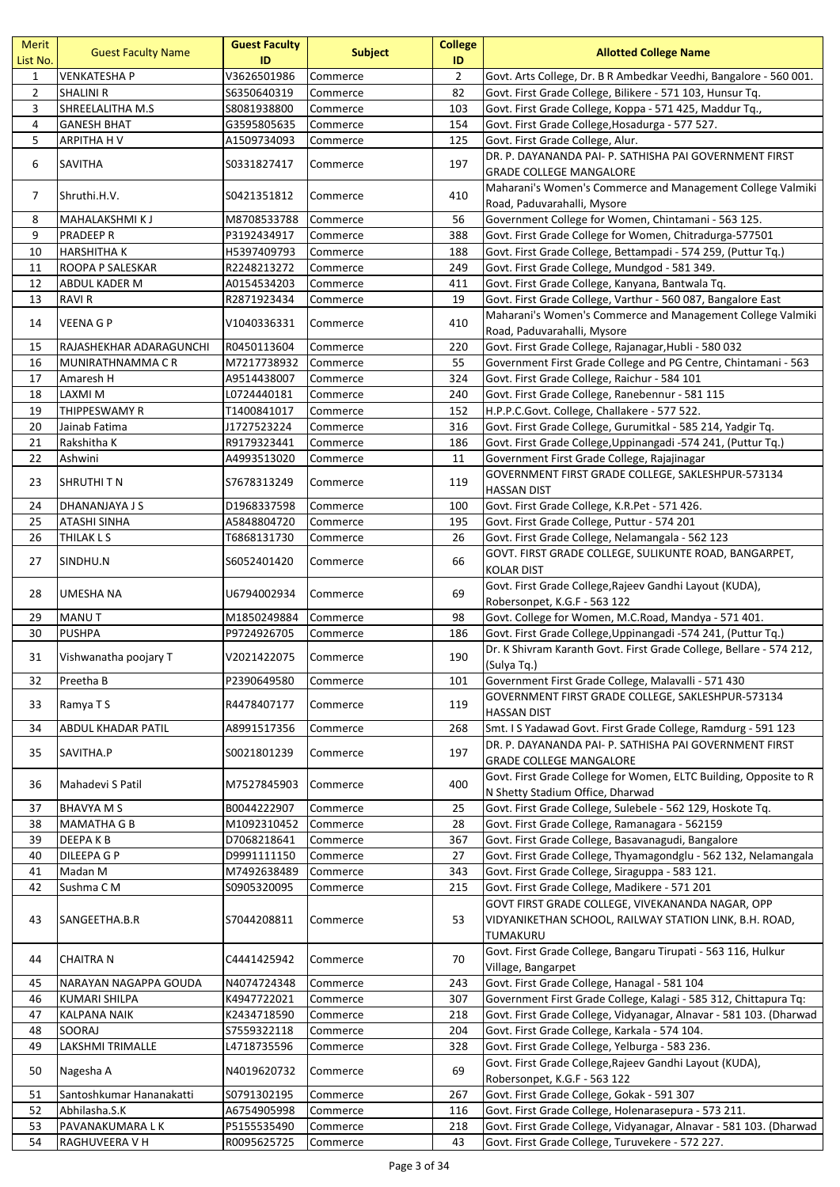| Merit<br>List No. | <b>Guest Faculty Name</b> | <b>Guest Faculty</b><br>ID | <b>Subject</b> | <b>College</b><br>ID | <b>Allotted College Name</b>                                        |
|-------------------|---------------------------|----------------------------|----------------|----------------------|---------------------------------------------------------------------|
| $\mathbf{1}$      | <b>VENKATESHA P</b>       | V3626501986                | Commerce       | $\overline{2}$       | Govt. Arts College, Dr. B R Ambedkar Veedhi, Bangalore - 560 001.   |
| $\overline{2}$    | <b>SHALINI R</b>          | \$6350640319               | Commerce       | 82                   | Govt. First Grade College, Bilikere - 571 103, Hunsur Tq.           |
| 3                 | SHREELALITHA M.S          | S8081938800                | Commerce       | 103                  | Govt. First Grade College, Koppa - 571 425, Maddur Tq.,             |
| 4                 | <b>GANESH BHAT</b>        | G3595805635                | Commerce       | 154                  | Govt. First Grade College, Hosadurga - 577 527.                     |
| 5                 | ARPITHA H V               | A1509734093                | Commerce       | 125                  | Govt. First Grade College, Alur.                                    |
| 6                 | SAVITHA                   | S0331827417                | Commerce       | 197                  | DR. P. DAYANANDA PAI- P. SATHISHA PAI GOVERNMENT FIRST              |
|                   |                           |                            |                |                      | <b>GRADE COLLEGE MANGALORE</b>                                      |
| 7                 | Shruthi.H.V.              | S0421351812                | Commerce       | 410                  | Maharani's Women's Commerce and Management College Valmiki          |
|                   |                           |                            |                |                      | Road, Paduvarahalli, Mysore                                         |
| 8                 | MAHALAKSHMI KJ            | M8708533788                | Commerce       | 56                   | Government College for Women, Chintamani - 563 125.                 |
| 9                 | <b>PRADEEP R</b>          | P3192434917                | Commerce       | 388                  | Govt. First Grade College for Women, Chitradurga-577501             |
| 10                | <b>HARSHITHA K</b>        | H5397409793                | Commerce       | 188                  | Govt. First Grade College, Bettampadi - 574 259, (Puttur Tq.)       |
| 11                | ROOPA P SALESKAR          | R2248213272                | Commerce       | 249                  | Govt. First Grade College, Mundgod - 581 349.                       |
| 12                | ABDUL KADER M             | A0154534203                | Commerce       | 411                  | Govt. First Grade College, Kanyana, Bantwala Tq.                    |
| 13                | <b>RAVI R</b>             | R2871923434                | Commerce       | 19                   | Govt. First Grade College, Varthur - 560 087, Bangalore East        |
| 14                | VEENA G P                 | V1040336331                | Commerce       | 410                  | Maharani's Women's Commerce and Management College Valmiki          |
|                   |                           |                            |                |                      | Road, Paduvarahalli, Mysore                                         |
| 15                | RAJASHEKHAR ADARAGUNCHI   | R0450113604                | Commerce       | 220                  | Govt. First Grade College, Rajanagar, Hubli - 580 032               |
| 16                | MUNIRATHNAMMA CR          | M7217738932                | Commerce       | 55                   | Government First Grade College and PG Centre, Chintamani - 563      |
| 17                | Amaresh H                 | A9514438007                | Commerce       | 324                  | Govt. First Grade College, Raichur - 584 101                        |
| 18                | LAXMI M                   | L0724440181                | Commerce       | 240                  | Govt. First Grade College, Ranebennur - 581 115                     |
| 19                | THIPPESWAMY R             | T1400841017                | Commerce       | 152                  | H.P.P.C.Govt. College, Challakere - 577 522.                        |
| 20                | Jainab Fatima             | J1727523224                | Commerce       | 316                  | Govt. First Grade College, Gurumitkal - 585 214, Yadgir Tq.         |
| 21                | Rakshitha K               | R9179323441                | Commerce       | 186                  | Govt. First Grade College, Uppinangadi -574 241, (Puttur Tq.)       |
| 22                | Ashwini                   | A4993513020                | Commerce       | 11                   | Government First Grade College, Rajajinagar                         |
| 23                | SHRUTHI T N               | S7678313249                | Commerce       | 119                  | GOVERNMENT FIRST GRADE COLLEGE, SAKLESHPUR-573134                   |
|                   |                           |                            |                |                      | <b>HASSAN DIST</b>                                                  |
| 24                | DHANANJAYA J S            | D1968337598                | Commerce       | 100                  | Govt. First Grade College, K.R.Pet - 571 426.                       |
| 25                | <b>ATASHI SINHA</b>       | A5848804720                | Commerce       | 195                  | Govt. First Grade College, Puttur - 574 201                         |
| 26                | THILAK L S                | T6868131730                | Commerce       | 26                   | Govt. First Grade College, Nelamangala - 562 123                    |
| 27                | SINDHU.N                  | S6052401420                | Commerce       | 66                   | GOVT. FIRST GRADE COLLEGE, SULIKUNTE ROAD, BANGARPET,               |
|                   |                           |                            |                |                      | KOLAR DIST                                                          |
| 28                | UMESHA NA                 | U6794002934                | Commerce       | 69                   | Govt. First Grade College, Rajeev Gandhi Layout (KUDA),             |
|                   |                           |                            |                |                      | Robersonpet, K.G.F - 563 122                                        |
| 29                | <b>MANUT</b>              | M1850249884                | Commerce       | 98                   | Govt. College for Women, M.C.Road, Mandya - 571 401.                |
| 30                | <b>PUSHPA</b>             | P9724926705                | Commerce       | 186                  | Govt. First Grade College, Uppinangadi -574 241, (Puttur Tq.)       |
| 31                | Vishwanatha poojary T     | V2021422075                | Commerce       | 190                  | Dr. K Shivram Karanth Govt. First Grade College, Bellare - 574 212, |
|                   |                           |                            |                |                      | (Sulya Tq.)                                                         |
| 32                | Preetha B                 | P2390649580                | Commerce       | 101                  | Government First Grade College, Malavalli - 571 430                 |
| 33                | Ramya T S                 | R4478407177                | Commerce       | 119                  | GOVERNMENT FIRST GRADE COLLEGE, SAKLESHPUR-573134                   |
|                   |                           |                            |                |                      | <b>HASSAN DIST</b>                                                  |
| 34                | ABDUL KHADAR PATIL        | A8991517356                | Commerce       | 268                  | Smt. I S Yadawad Govt. First Grade College, Ramdurg - 591 123       |
| 35                | SAVITHA.P                 | S0021801239                | Commerce       | 197                  | DR. P. DAYANANDA PAI- P. SATHISHA PAI GOVERNMENT FIRST              |
|                   |                           |                            |                |                      | <b>GRADE COLLEGE MANGALORE</b>                                      |
| 36                | Mahadevi S Patil          | M7527845903                | Commerce       | 400                  | Govt. First Grade College for Women, ELTC Building, Opposite to R   |
|                   |                           |                            |                |                      | N Shetty Stadium Office, Dharwad                                    |
| 37                | <b>BHAVYA M S</b>         | B0044222907                | Commerce       | 25                   | Govt. First Grade College, Sulebele - 562 129, Hoskote Tq.          |
| 38                | <b>MAMATHA G B</b>        | M1092310452                | Commerce       | 28                   | Govt. First Grade College, Ramanagara - 562159                      |
| 39                | DEEPA K B                 | D7068218641                | Commerce       | 367                  | Govt. First Grade College, Basavanagudi, Bangalore                  |
| 40                | DILEEPA G P               | D9991111150                | Commerce       | 27                   | Govt. First Grade College, Thyamagondglu - 562 132, Nelamangala     |
| 41                | Madan M                   | M7492638489                | Commerce       | 343                  | Govt. First Grade College, Siraguppa - 583 121.                     |
| 42                | Sushma CM                 | S0905320095                | Commerce       | 215                  | Govt. First Grade College, Madikere - 571 201                       |
|                   |                           |                            |                |                      | GOVT FIRST GRADE COLLEGE, VIVEKANANDA NAGAR, OPP                    |
| 43                | SANGEETHA.B.R             | \$7044208811               | Commerce       | 53                   | VIDYANIKETHAN SCHOOL, RAILWAY STATION LINK, B.H. ROAD,              |
|                   |                           |                            |                |                      | TUMAKURU                                                            |
| 44                | <b>CHAITRA N</b>          | C4441425942                | Commerce       | 70                   | Govt. First Grade College, Bangaru Tirupati - 563 116, Hulkur       |
|                   |                           |                            |                |                      | Village, Bangarpet                                                  |
| 45                | NARAYAN NAGAPPA GOUDA     | N4074724348                | Commerce       | 243                  | Govt. First Grade College, Hanagal - 581 104                        |
| 46                | KUMARI SHILPA             | K4947722021                | Commerce       | 307                  | Government First Grade College, Kalagi - 585 312, Chittapura Tq:    |
| 47                | <b>KALPANA NAIK</b>       | K2434718590                | Commerce       | 218                  | Govt. First Grade College, Vidyanagar, Alnavar - 581 103. (Dharwad  |
| 48                | SOORAJ                    | S7559322118                | Commerce       | 204                  | Govt. First Grade College, Karkala - 574 104.                       |
| 49                | LAKSHMI TRIMALLE          | L4718735596                | Commerce       | 328                  | Govt. First Grade College, Yelburga - 583 236.                      |
| 50                | Nagesha A                 | N4019620732                | Commerce       | 69                   | Govt. First Grade College, Rajeev Gandhi Layout (KUDA),             |
|                   |                           |                            |                |                      | Robersonpet, K.G.F - 563 122                                        |
| 51                | Santoshkumar Hananakatti  | S0791302195                | Commerce       | 267                  | Govt. First Grade College, Gokak - 591 307                          |
| 52                | Abhilasha.S.K             | A6754905998                | Commerce       | 116                  | Govt. First Grade College, Holenarasepura - 573 211.                |
| 53                | PAVANAKUMARA L K          | P5155535490                | Commerce       | 218                  | Govt. First Grade College, Vidyanagar, Alnavar - 581 103. (Dharwad  |
| 54                | RAGHUVEERA V H            | R0095625725                | Commerce       | 43                   | Govt. First Grade College, Turuvekere - 572 227.                    |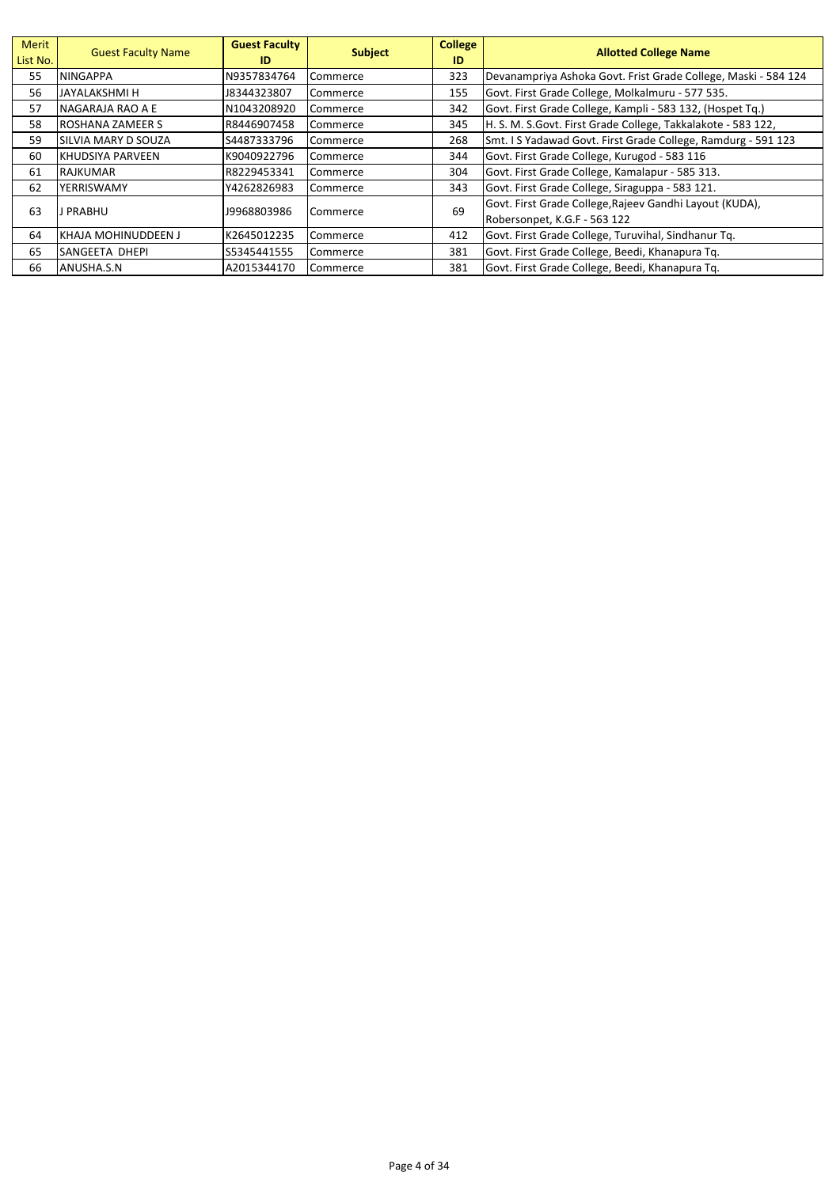| Merit<br>List No. | <b>Guest Faculty Name</b>  | <b>Guest Faculty</b><br>ID | <b>Subject</b> | <b>College</b><br>ID | <b>Allotted College Name</b>                                   |
|-------------------|----------------------------|----------------------------|----------------|----------------------|----------------------------------------------------------------|
| 55                | <b>NINGAPPA</b>            | N9357834764                | Commerce       | 323                  | Devanampriya Ashoka Govt. Frist Grade College, Maski - 584 124 |
| 56                | JAYALAKSHMI H              | J8344323807                | Commerce       | 155                  | Govt. First Grade College, Molkalmuru - 577 535.               |
| 57                | NAGARAJA RAO A E           | N1043208920                | Commerce       | 342                  | Govt. First Grade College, Kampli - 583 132, (Hospet Tq.)      |
| 58                | <b>ROSHANA ZAMEER S</b>    | R8446907458                | Commerce       | 345                  | H. S. M. S. Govt. First Grade College, Takkalakote - 583 122,  |
| 59                | <b>SILVIA MARY D SOUZA</b> | S4487333796                | Commerce       | 268                  | Smt. I S Yadawad Govt. First Grade College, Ramdurg - 591 123  |
| 60                | IKHUDSIYA PARVEEN          | K9040922796                | Commerce       | 344                  | Govt. First Grade College, Kurugod - 583 116                   |
| 61                | <b>RAJKUMAR</b>            | R8229453341                | Commerce       | 304                  | Govt. First Grade College, Kamalapur - 585 313.                |
| 62                | YERRISWAMY                 | Y4262826983                | Commerce       | 343                  | Govt. First Grade College, Siraguppa - 583 121.                |
| 63                | J PRABHU                   | 19968803986                |                | 69                   | Govt. First Grade College, Rajeev Gandhi Layout (KUDA),        |
|                   |                            |                            | Commerce       |                      | Robersonpet, K.G.F - 563 122                                   |
| 64                | IKHAJA MOHINUDDEEN J       | K2645012235                | Commerce       | 412                  | Govt. First Grade College, Turuvihal, Sindhanur Tq.            |
| 65                | <b>SANGEETA DHEPI</b>      | S5345441555                | Commerce       | 381                  | Govt. First Grade College, Beedi, Khanapura Tq.                |
| 66                | ANUSHA.S.N                 | A2015344170                | Commerce       | 381                  | Govt. First Grade College, Beedi, Khanapura Tg.                |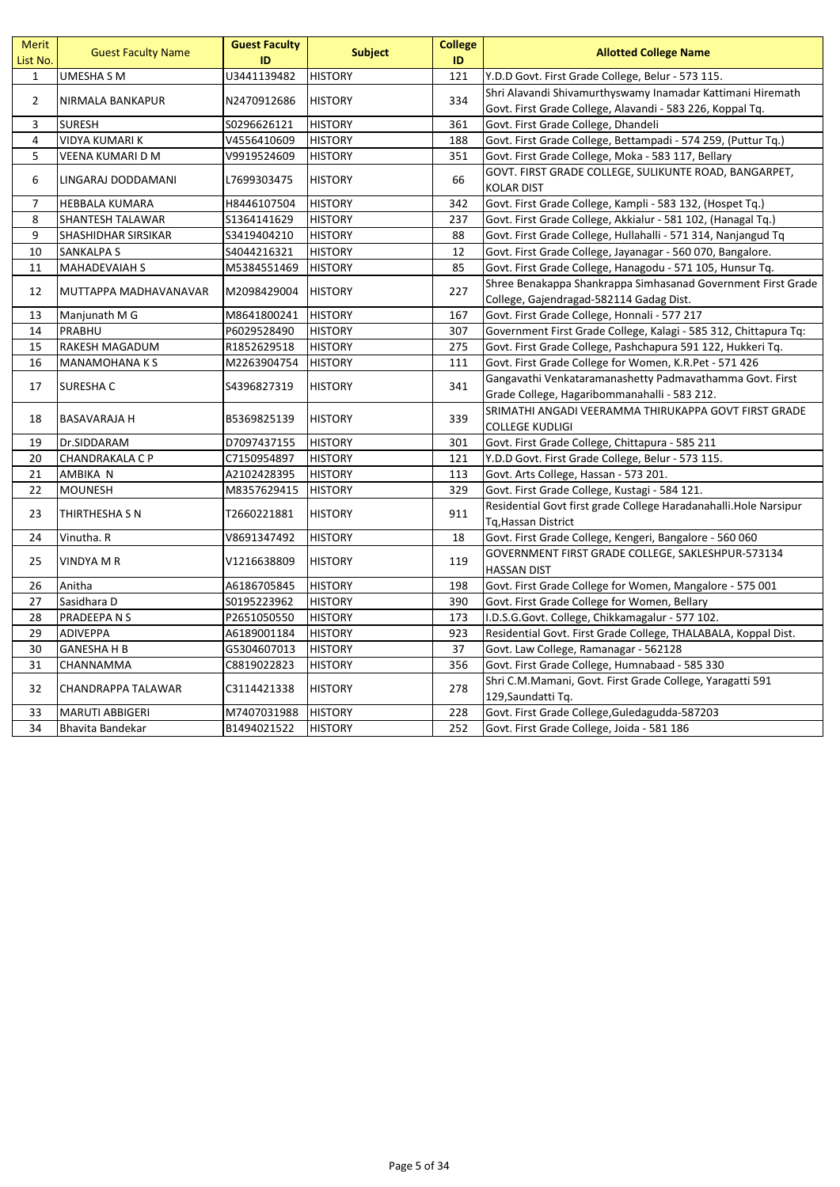| Merit<br>List No. | <b>Guest Faculty Name</b> | <b>Guest Faculty</b><br>ID | <b>Subject</b> | <b>College</b><br>ID | <b>Allotted College Name</b>                                               |
|-------------------|---------------------------|----------------------------|----------------|----------------------|----------------------------------------------------------------------------|
| $\mathbf{1}$      | UMESHA S M                | U3441139482                | <b>HISTORY</b> | 121                  | Y.D.D Govt. First Grade College, Belur - 573 115.                          |
| $\overline{2}$    |                           |                            |                | 334                  | Shri Alavandi Shivamurthyswamy Inamadar Kattimani Hiremath                 |
|                   | NIRMALA BANKAPUR          | N2470912686                | <b>HISTORY</b> |                      | Govt. First Grade College, Alavandi - 583 226, Koppal Tq.                  |
| 3                 | <b>SURESH</b>             | S0296626121                | <b>HISTORY</b> | 361                  | Govt. First Grade College, Dhandeli                                        |
| 4                 | <b>VIDYA KUMARI K</b>     | V4556410609                | <b>HISTORY</b> | 188                  | Govt. First Grade College, Bettampadi - 574 259, (Puttur Tq.)              |
| 5                 | VEENA KUMARI D M          | V9919524609                | <b>HISTORY</b> | 351                  | Govt. First Grade College, Moka - 583 117, Bellary                         |
| 6                 | LINGARAJ DODDAMANI        | L7699303475                | <b>HISTORY</b> | 66                   | GOVT. FIRST GRADE COLLEGE, SULIKUNTE ROAD, BANGARPET,<br><b>KOLAR DIST</b> |
| $\overline{7}$    | HEBBALA KUMARA            | H8446107504                | <b>HISTORY</b> | 342                  | Govt. First Grade College, Kampli - 583 132, (Hospet Tq.)                  |
| 8                 | SHANTESH TALAWAR          | S1364141629                | <b>HISTORY</b> | 237                  | Govt. First Grade College, Akkialur - 581 102, (Hanagal Tq.)               |
| 9                 | SHASHIDHAR SIRSIKAR       | S3419404210                | <b>HISTORY</b> | 88                   | Govt. First Grade College, Hullahalli - 571 314, Nanjangud Tq              |
| 10                | <b>SANKALPA S</b>         | S4044216321                | <b>HISTORY</b> | 12                   | Govt. First Grade College, Jayanagar - 560 070, Bangalore.                 |
| 11                | <b>MAHADEVAIAH S</b>      | M5384551469                | <b>HISTORY</b> | 85                   | Govt. First Grade College, Hanagodu - 571 105, Hunsur Tq.                  |
|                   |                           |                            |                |                      | Shree Benakappa Shankrappa Simhasanad Government First Grade               |
| 12                | MUTTAPPA MADHAVANAVAR     | M2098429004                | <b>HISTORY</b> | 227                  | College, Gajendragad-582114 Gadag Dist.                                    |
| 13                | Manjunath M G             | M8641800241                | <b>HISTORY</b> | 167                  | Govt. First Grade College, Honnali - 577 217                               |
| 14                | PRABHU                    | P6029528490                | <b>HISTORY</b> | 307                  | Government First Grade College, Kalagi - 585 312, Chittapura Tq:           |
| 15                | RAKESH MAGADUM            | R1852629518                | <b>HISTORY</b> | 275                  | Govt. First Grade College, Pashchapura 591 122, Hukkeri Tq.                |
| 16                | MANAMOHANA K S            | M2263904754                | <b>HISTORY</b> | 111                  | Govt. First Grade College for Women, K.R.Pet - 571 426                     |
|                   |                           |                            |                | 341                  | Gangavathi Venkataramanashetty Padmavathamma Govt. First                   |
| 17                | SURESHA C                 | S4396827319                | <b>HISTORY</b> |                      | Grade College, Hagaribommanahalli - 583 212.                               |
| 18                |                           |                            | <b>HISTORY</b> | 339                  | SRIMATHI ANGADI VEERAMMA THIRUKAPPA GOVT FIRST GRADE                       |
|                   | <b>BASAVARAJA H</b>       | B5369825139                |                |                      | <b>COLLEGE KUDLIGI</b>                                                     |
| 19                | Dr.SIDDARAM               | D7097437155                | <b>HISTORY</b> | 301                  | Govt. First Grade College, Chittapura - 585 211                            |
| 20                | <b>CHANDRAKALA C P</b>    | C7150954897                | <b>HISTORY</b> | 121                  | Y.D.D Govt. First Grade College, Belur - 573 115.                          |
| 21                | AMBIKA N                  | A2102428395                | <b>HISTORY</b> | 113                  | Govt. Arts College, Hassan - 573 201.                                      |
| 22                | <b>MOUNESH</b>            | M8357629415                | <b>HISTORY</b> | 329                  | Govt. First Grade College, Kustagi - 584 121.                              |
| 23                | THIRTHESHA S N            | T2660221881                | <b>HISTORY</b> | 911                  | Residential Govt first grade College Haradanahalli. Hole Narsipur          |
|                   |                           |                            |                |                      | Tq, Hassan District                                                        |
| 24                | Vinutha. R                | V8691347492                | <b>HISTORY</b> | 18                   | Govt. First Grade College, Kengeri, Bangalore - 560 060                    |
| 25                | <b>VINDYA M R</b>         | V1216638809                | <b>HISTORY</b> | 119                  | GOVERNMENT FIRST GRADE COLLEGE, SAKLESHPUR-573134<br><b>HASSAN DIST</b>    |
| 26                | Anitha                    | A6186705845                | <b>HISTORY</b> | 198                  | Govt. First Grade College for Women, Mangalore - 575 001                   |
| 27                | Sasidhara D               | S0195223962                | <b>HISTORY</b> | 390                  | Govt. First Grade College for Women, Bellary                               |
| 28                | PRADEEPA N S              | P2651050550                | <b>HISTORY</b> | 173                  | I.D.S.G.Govt. College, Chikkamagalur - 577 102.                            |
| 29                | <b>ADIVEPPA</b>           | A6189001184                | <b>HISTORY</b> | 923                  | Residential Govt. First Grade College, THALABALA, Koppal Dist.             |
| 30                | <b>GANESHAHB</b>          | G5304607013                | <b>HISTORY</b> | 37                   | Govt. Law College, Ramanagar - 562128                                      |
| 31                | CHANNAMMA                 | C8819022823                | <b>HISTORY</b> | 356                  | Govt. First Grade College, Humnabaad - 585 330                             |
|                   |                           |                            |                |                      | Shri C.M.Mamani, Govt. First Grade College, Yaragatti 591                  |
| 32                | CHANDRAPPA TALAWAR        | C3114421338                | <b>HISTORY</b> | 278                  | 129, Saundatti Tq.                                                         |
| 33                | <b>MARUTI ABBIGERI</b>    | M7407031988                | <b>HISTORY</b> | 228                  | Govt. First Grade College, Guledagudda-587203                              |
| 34                | Bhavita Bandekar          | B1494021522                | <b>HISTORY</b> | 252                  | Govt. First Grade College, Joida - 581 186                                 |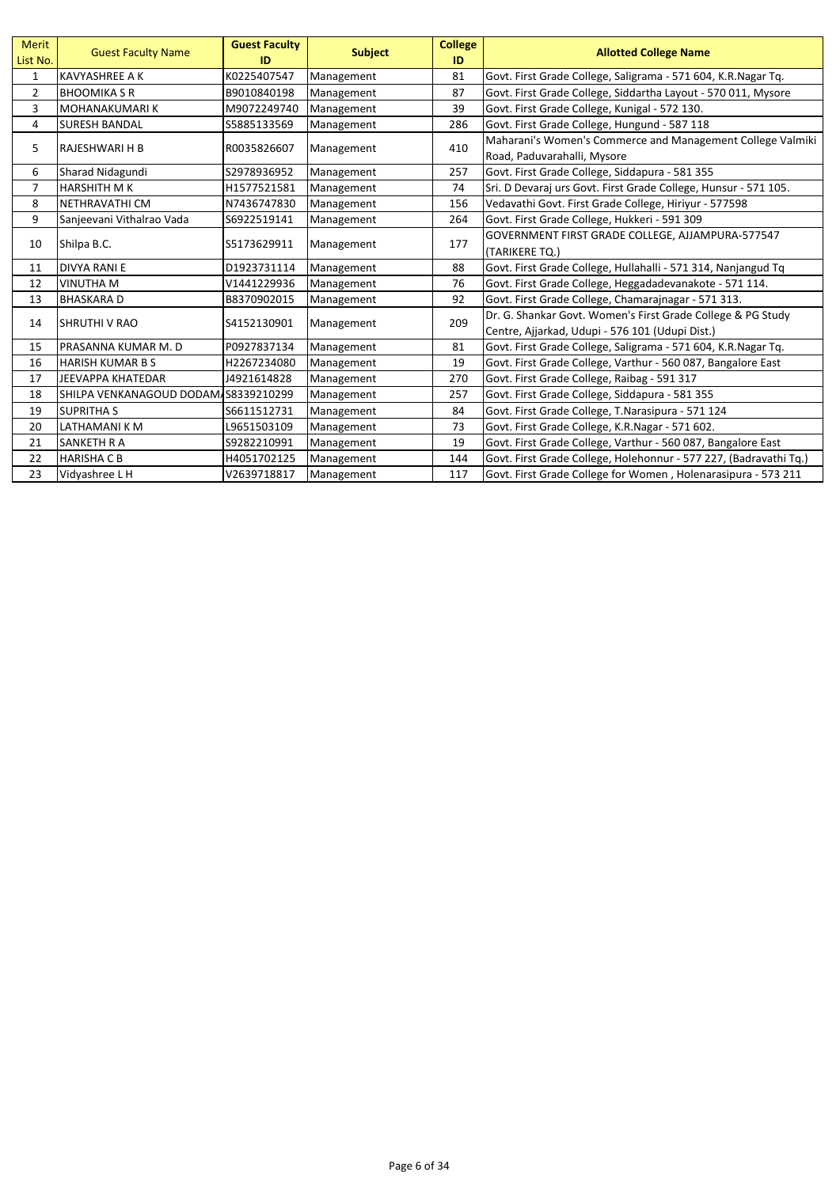| <b>Merit</b><br>List No. | <b>Guest Faculty Name</b>            | <b>Guest Faculty</b><br>ID | <b>Subject</b> | <b>College</b><br>ID | <b>Allotted College Name</b>                                                                                   |
|--------------------------|--------------------------------------|----------------------------|----------------|----------------------|----------------------------------------------------------------------------------------------------------------|
| 1                        | <b>KAVYASHREE A K</b>                | K0225407547                | Management     | 81                   | Govt. First Grade College, Saligrama - 571 604, K.R.Nagar Tq.                                                  |
| $\overline{2}$           | <b>BHOOMIKA S R</b>                  | B9010840198                | Management     | 87                   | Govt. First Grade College, Siddartha Layout - 570 011, Mysore                                                  |
| 3                        | IMOHANAKUMARI K                      | M9072249740                | Management     | 39                   | Govt. First Grade College, Kunigal - 572 130.                                                                  |
| 4                        | <b>SURESH BANDAL</b>                 | S5885133569                | Management     | 286                  | Govt. First Grade College, Hungund - 587 118                                                                   |
| 5                        | IRAJESHWARI H B                      | R0035826607                | Management     | 410                  | Maharani's Women's Commerce and Management College Valmiki<br>Road, Paduvarahalli, Mysore                      |
| 6                        | Sharad Nidagundi                     | S2978936952                | Management     | 257                  | Govt. First Grade College, Siddapura - 581 355                                                                 |
| $\overline{7}$           | <b>HARSHITH MK</b>                   | H1577521581                | Management     | 74                   | Sri. D Devaraj urs Govt. First Grade College, Hunsur - 571 105.                                                |
| 8                        | NETHRAVATHI CM                       | N7436747830                | Management     | 156                  | Vedavathi Govt. First Grade College, Hiriyur - 577598                                                          |
| 9                        | Sanjeevani Vithalrao Vada            | S6922519141                | Management     | 264                  | Govt. First Grade College, Hukkeri - 591 309                                                                   |
| 10                       | Shilpa B.C.                          | S5173629911                | Management     | 177                  | GOVERNMENT FIRST GRADE COLLEGE, AJJAMPURA-577547<br>(TARIKERE TQ.)                                             |
| 11                       | <b>DIVYA RANI E</b>                  | D1923731114                | Management     | 88                   | Govt. First Grade College, Hullahalli - 571 314, Nanjangud Tq                                                  |
| 12                       | <b>VINUTHA M</b>                     | V1441229936                | Management     | 76                   | Govt. First Grade College, Heggadadevanakote - 571 114.                                                        |
| 13                       | <b>BHASKARAD</b>                     | B8370902015                | Management     | 92                   | Govt. First Grade College, Chamarajnagar - 571 313.                                                            |
| 14                       | <b>SHRUTHI V RAO</b>                 | S4152130901                | Management     | 209                  | Dr. G. Shankar Govt. Women's First Grade College & PG Study<br>Centre, Ajjarkad, Udupi - 576 101 (Udupi Dist.) |
| 15                       | PRASANNA KUMAR M. D                  | P0927837134                | Management     | 81                   | Govt. First Grade College, Saligrama - 571 604, K.R.Nagar Tq.                                                  |
| 16                       | <b>HARISH KUMAR B S</b>              | H2267234080                | Management     | 19                   | Govt. First Grade College, Varthur - 560 087, Bangalore East                                                   |
| 17                       | <b>JEEVAPPA KHATEDAR</b>             | J4921614828                | Management     | 270                  | Govt. First Grade College, Raibag - 591 317                                                                    |
| 18                       | SHILPA VENKANAGOUD DODAM S8339210299 |                            | Management     | 257                  | Govt. First Grade College, Siddapura - 581 355                                                                 |
| 19                       | <b>SUPRITHAS</b>                     | S6611512731                | Management     | 84                   | Govt. First Grade College, T.Narasipura - 571 124                                                              |
| 20                       | LATHAMANI K M                        | L9651503109                | Management     | 73                   | Govt. First Grade College, K.R.Nagar - 571 602.                                                                |
| 21                       | <b>SANKETH R A</b>                   | S9282210991                | Management     | 19                   | Govt. First Grade College, Varthur - 560 087, Bangalore East                                                   |
| 22                       | <b>HARISHA C B</b>                   | H4051702125                | Management     | 144                  | Govt. First Grade College, Holehonnur - 577 227, (Badravathi Tq.)                                              |
| 23                       | Vidyashree L H                       | V2639718817                | Management     | 117                  | Govt. First Grade College for Women, Holenarasipura - 573 211                                                  |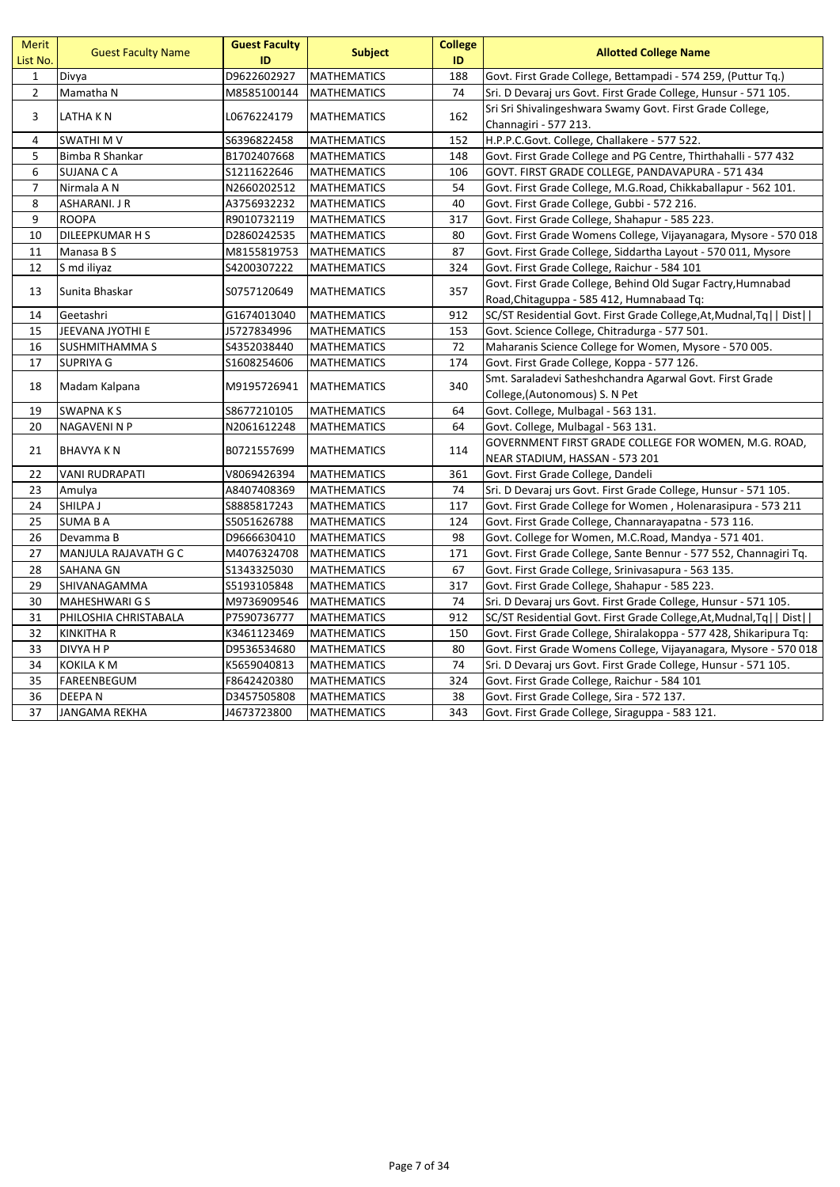| <b>Merit</b><br>List No. | <b>Guest Faculty Name</b> | <b>Guest Faculty</b><br>ID | <b>Subject</b>     | <b>College</b><br>ID | <b>Allotted College Name</b>                                                           |
|--------------------------|---------------------------|----------------------------|--------------------|----------------------|----------------------------------------------------------------------------------------|
| $\mathbf{1}$             | Divya                     | D9622602927                | <b>MATHEMATICS</b> | 188                  | Govt. First Grade College, Bettampadi - 574 259, (Puttur Tq.)                          |
| $\mathbf 2$              | Mamatha N                 | M8585100144                | <b>MATHEMATICS</b> | 74                   | Sri. D Devaraj urs Govt. First Grade College, Hunsur - 571 105.                        |
| 3                        | LATHA KN                  | L0676224179                | <b>MATHEMATICS</b> | 162                  | Sri Sri Shivalingeshwara Swamy Govt. First Grade College,<br>Channagiri - 577 213.     |
| 4                        | <b>SWATHIMV</b>           | S6396822458                | <b>MATHEMATICS</b> | 152                  | H.P.P.C.Govt. College, Challakere - 577 522.                                           |
| 5                        | Bimba R Shankar           | B1702407668                | <b>MATHEMATICS</b> | 148                  | Govt. First Grade College and PG Centre, Thirthahalli - 577 432                        |
| 6                        | <b>SUJANA CA</b>          | \$1211622646               | <b>MATHEMATICS</b> | 106                  | GOVT. FIRST GRADE COLLEGE, PANDAVAPURA - 571 434                                       |
| $\overline{7}$           | Nirmala A N               | N2660202512                | <b>MATHEMATICS</b> | 54                   | Govt. First Grade College, M.G.Road, Chikkaballapur - 562 101.                         |
| 8                        | ASHARANI. J R             | A3756932232                | <b>MATHEMATICS</b> | 40                   | Govt. First Grade College, Gubbi - 572 216.                                            |
| 9                        | <b>ROOPA</b>              | R9010732119                | <b>MATHEMATICS</b> | 317                  | Govt. First Grade College, Shahapur - 585 223.                                         |
| 10                       | DILEEPKUMAR H S           | D2860242535                | <b>MATHEMATICS</b> | 80                   | Govt. First Grade Womens College, Vijayanagara, Mysore - 570 018                       |
| 11                       | Manasa B S                | M8155819753                | <b>MATHEMATICS</b> | 87                   | Govt. First Grade College, Siddartha Layout - 570 011, Mysore                          |
| 12                       | S md iliyaz               | S4200307222                | <b>MATHEMATICS</b> | 324                  | Govt. First Grade College, Raichur - 584 101                                           |
| 13                       | Sunita Bhaskar            |                            |                    | 357                  | Govt. First Grade College, Behind Old Sugar Factry, Humnabad                           |
|                          |                           | S0757120649                | <b>MATHEMATICS</b> |                      | Road, Chitaguppa - 585 412, Humnabaad Tq:                                              |
| 14                       | Geetashri                 | G1674013040                | <b>MATHEMATICS</b> | 912                  | SC/ST Residential Govt. First Grade College, At, Mudnal, Tq   Dist                     |
| 15                       | JEEVANA JYOTHI E          | J5727834996                | <b>MATHEMATICS</b> | 153                  | Govt. Science College, Chitradurga - 577 501.                                          |
| 16                       | <b>SUSHMITHAMMA S</b>     | S4352038440                | <b>MATHEMATICS</b> | 72                   | Maharanis Science College for Women, Mysore - 570 005.                                 |
| 17                       | <b>SUPRIYA G</b>          | S1608254606                | <b>MATHEMATICS</b> | 174                  | Govt. First Grade College, Koppa - 577 126.                                            |
| 18                       |                           | M9195726941                |                    | 340                  | Smt. Saraladevi Satheshchandra Agarwal Govt. First Grade                               |
|                          | Madam Kalpana             |                            | <b>MATHEMATICS</b> |                      | College, (Autonomous) S. N Pet                                                         |
| 19                       | <b>SWAPNAKS</b>           | S8677210105                | <b>MATHEMATICS</b> | 64                   | Govt. College, Mulbagal - 563 131.                                                     |
| 20                       | <b>NAGAVENI N P</b>       | N2061612248                | <b>MATHEMATICS</b> | 64                   | Govt. College, Mulbagal - 563 131.                                                     |
| 21                       | <b>BHAVYA KN</b>          | B0721557699                | <b>MATHEMATICS</b> | 114                  | GOVERNMENT FIRST GRADE COLLEGE FOR WOMEN, M.G. ROAD,<br>NEAR STADIUM, HASSAN - 573 201 |
| 22                       | <b>VANI RUDRAPATI</b>     | V8069426394                | <b>MATHEMATICS</b> | 361                  | Govt. First Grade College, Dandeli                                                     |
| 23                       | Amulya                    | A8407408369                | <b>MATHEMATICS</b> | 74                   | Sri. D Devaraj urs Govt. First Grade College, Hunsur - 571 105.                        |
| 24                       | SHILPA J                  | S8885817243                | <b>MATHEMATICS</b> | 117                  | Govt. First Grade College for Women, Holenarasipura - 573 211                          |
| 25                       | <b>SUMA BA</b>            | S5051626788                | <b>MATHEMATICS</b> | 124                  | Govt. First Grade College, Channarayapatna - 573 116.                                  |
| 26                       | Devamma B                 | D9666630410                | <b>MATHEMATICS</b> | 98                   | Govt. College for Women, M.C.Road, Mandya - 571 401.                                   |
| 27                       | MANJULA RAJAVATH G C      | M4076324708                | <b>MATHEMATICS</b> | 171                  | Govt. First Grade College, Sante Bennur - 577 552, Channagiri Tq.                      |
| 28                       | <b>SAHANA GN</b>          | \$1343325030               | <b>MATHEMATICS</b> | 67                   | Govt. First Grade College, Srinivasapura - 563 135.                                    |
| 29                       | SHIVANAGAMMA              | S5193105848                | <b>MATHEMATICS</b> | 317                  | Govt. First Grade College, Shahapur - 585 223.                                         |
| 30                       | <b>MAHESHWARI G S</b>     | M9736909546                | <b>MATHEMATICS</b> | 74                   | Sri. D Devaraj urs Govt. First Grade College, Hunsur - 571 105.                        |
| 31                       | PHILOSHIA CHRISTABALA     | P7590736777                | <b>MATHEMATICS</b> | 912                  | SC/ST Residential Govt. First Grade College, At, Mudnal, Tq   Dist                     |
| 32                       | <b>KINKITHA R</b>         | K3461123469                | <b>MATHEMATICS</b> | 150                  | Govt. First Grade College, Shiralakoppa - 577 428, Shikaripura Tq:                     |
| 33                       | DIVYA H P                 | D9536534680                | <b>MATHEMATICS</b> | 80                   | Govt. First Grade Womens College, Vijayanagara, Mysore - 570 018                       |
| 34                       | <b>KOKILA K M</b>         | K5659040813                | <b>MATHEMATICS</b> | 74                   | Sri. D Devaraj urs Govt. First Grade College, Hunsur - 571 105.                        |
| 35                       | FAREENBEGUM               | F8642420380                | <b>MATHEMATICS</b> | 324                  | Govt. First Grade College, Raichur - 584 101                                           |
| 36                       | DEEPA N                   | D3457505808                | <b>MATHEMATICS</b> | 38                   | Govt. First Grade College, Sira - 572 137.                                             |
| 37                       | JANGAMA REKHA             | J4673723800                | <b>MATHEMATICS</b> | 343                  | Govt. First Grade College, Siraguppa - 583 121.                                        |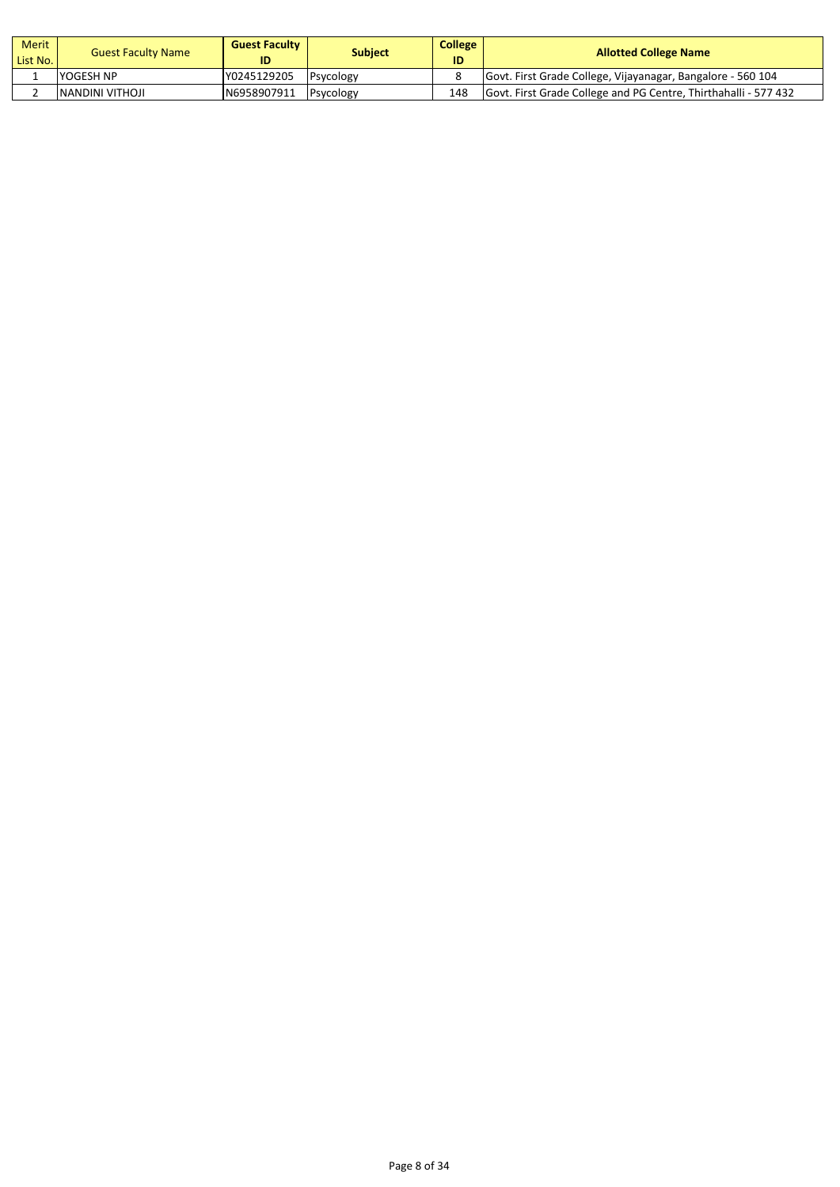| Merit<br>List No. | <b>Guest Faculty Name</b> | <b>Guest Faculty</b><br>ID | <b>Subject</b> | <b>College</b><br>ID | <b>Allotted College Name</b>                                    |
|-------------------|---------------------------|----------------------------|----------------|----------------------|-----------------------------------------------------------------|
|                   | <b>YOGESH NP</b>          | Y0245129205                | Psycology      |                      | Govt. First Grade College, Vijayanagar, Bangalore - 560 104     |
|                   | INANDINI VITHOJI          | N6958907911                | Psycology      | 148                  | Govt. First Grade College and PG Centre, Thirthahalli - 577 432 |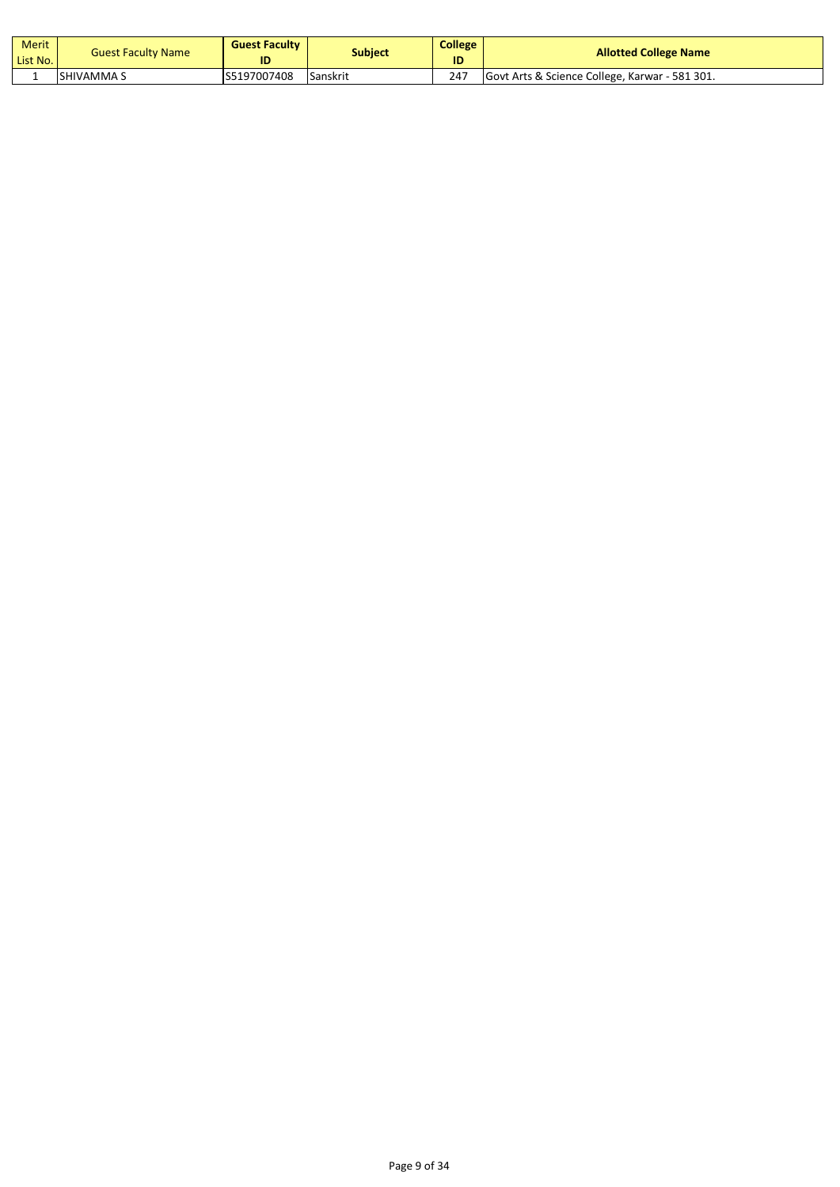| Merit<br>List No. | <b>Guest Faculty Name</b> | <b>Guest Faculty</b><br>ID | Subject  | <b>College</b><br>ID | <b>Allotted College Name</b>                   |
|-------------------|---------------------------|----------------------------|----------|----------------------|------------------------------------------------|
|                   | ISHIVAMMA S               | S5197007408                | Sanskrit | 247                  | Govt Arts & Science College, Karwar - 581 301. |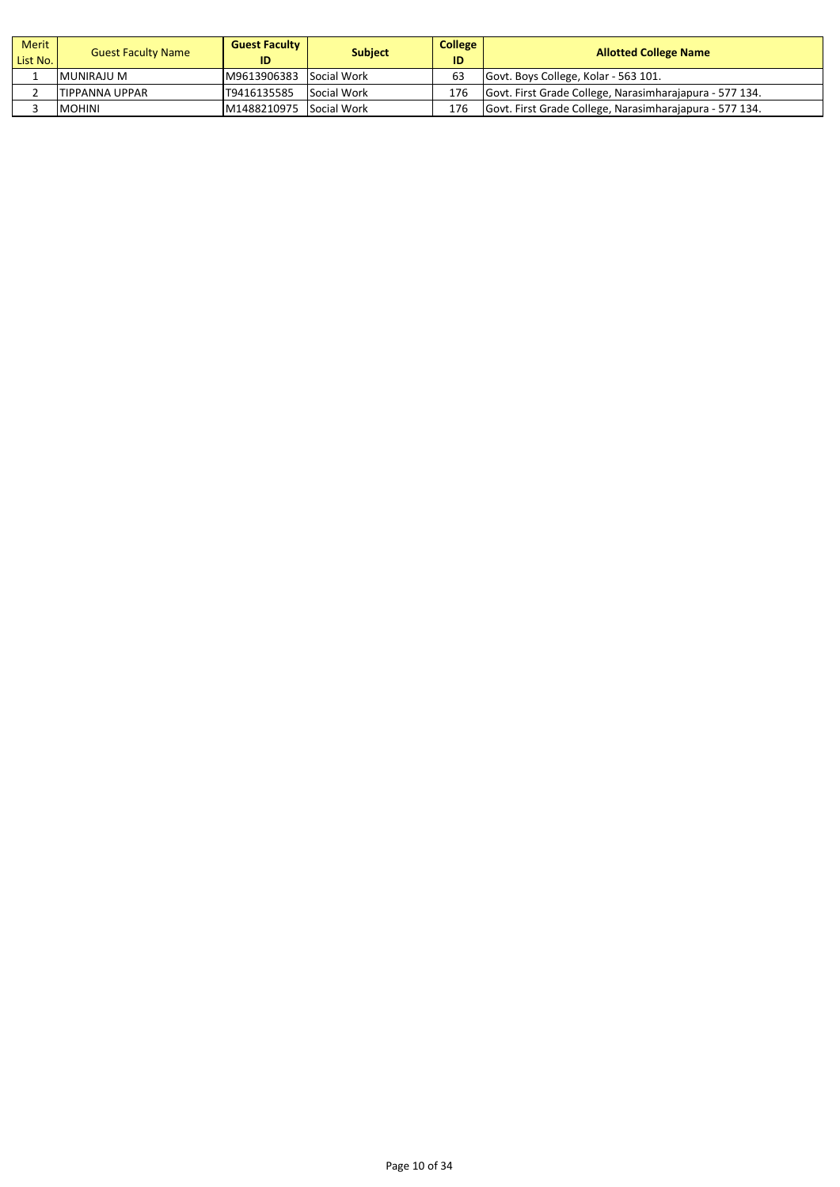| Merit<br>List No. | <b>Guest Faculty Name</b> | <b>Guest Faculty</b><br>ID | <b>Subject</b> | College<br>ID | <b>Allotted College Name</b>                            |
|-------------------|---------------------------|----------------------------|----------------|---------------|---------------------------------------------------------|
|                   | MUNIRAJU M                | M9613906383 Social Work    |                | 63            | Govt. Boys College, Kolar - 563 101.                    |
|                   | TIPPANNA UPPAR            | T9416135585                | Social Work    | 176           | Govt. First Grade College, Narasimharajapura - 577 134. |
|                   | <b>MOHINI</b>             | M1488210975 Social Work    |                | 176           | Govt. First Grade College, Narasimharajapura - 577 134. |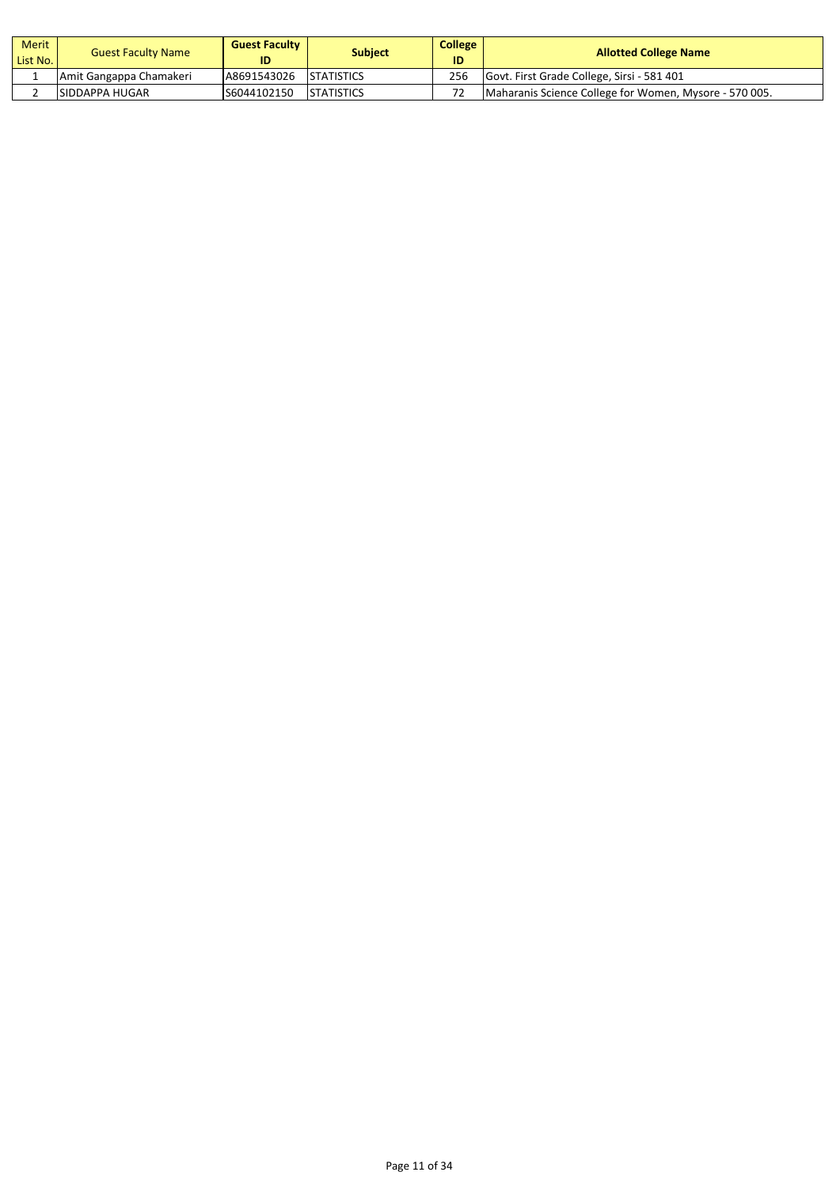| Merit<br>List No. | <b>Guest Faculty Name</b> | <b>Guest Faculty</b><br>ID | <b>Subject</b>     | College <sub>1</sub><br>ID | <b>Allotted College Name</b>                           |
|-------------------|---------------------------|----------------------------|--------------------|----------------------------|--------------------------------------------------------|
|                   | Amit Gangappa Chamakeri   | A8691543026                | <b>STATISTICS</b>  | 256                        | Govt. First Grade College, Sirsi - 581 401             |
|                   | ISIDDAPPA HUGAR           | S6044102150                | <b>ISTATISTICS</b> |                            | Maharanis Science College for Women, Mysore - 570 005. |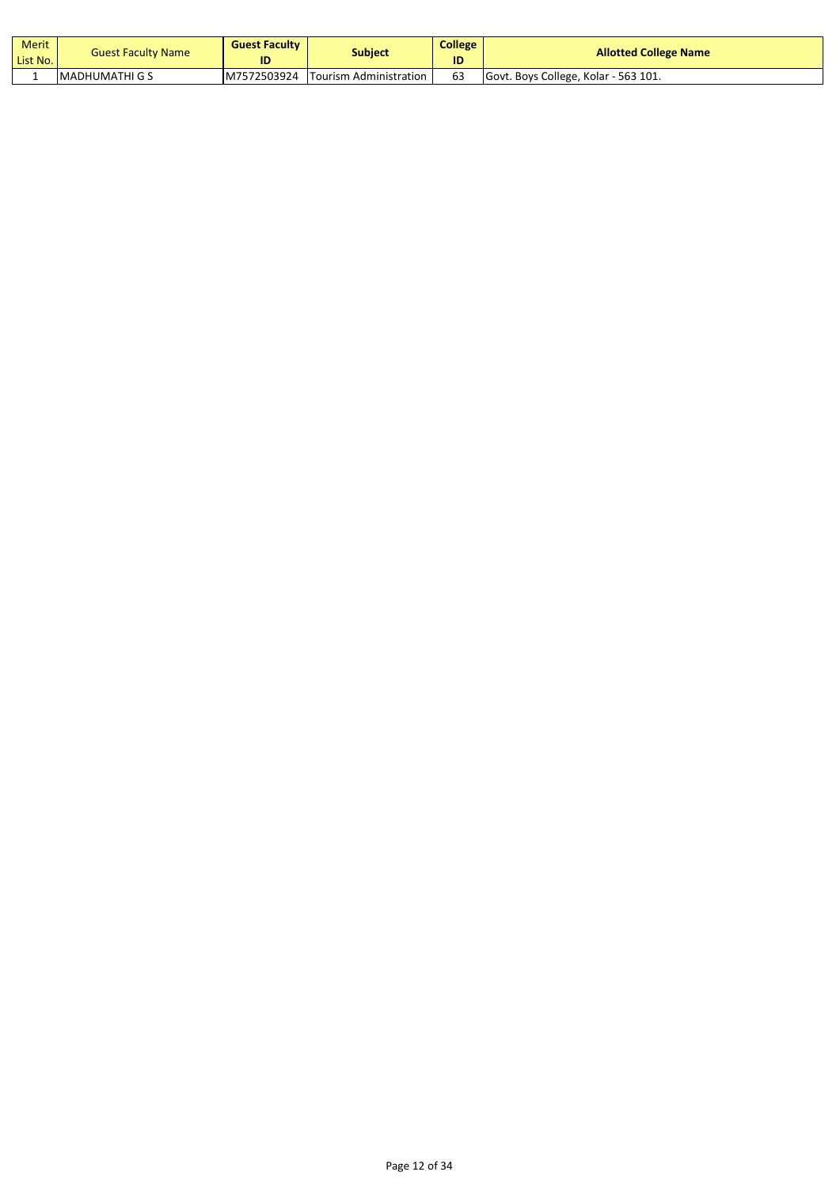| <b>Merit</b><br>List No. | <b>Guest Faculty Name</b> | <b>Guest Faculty</b><br>ID | Subject                | <b>College</b><br>ID | <b>Allotted College Name</b>         |
|--------------------------|---------------------------|----------------------------|------------------------|----------------------|--------------------------------------|
|                          | IMADHUMATHI G S           | M7572503924                | Tourism Administration | 63                   | Govt. Boys College, Kolar - 563 101. |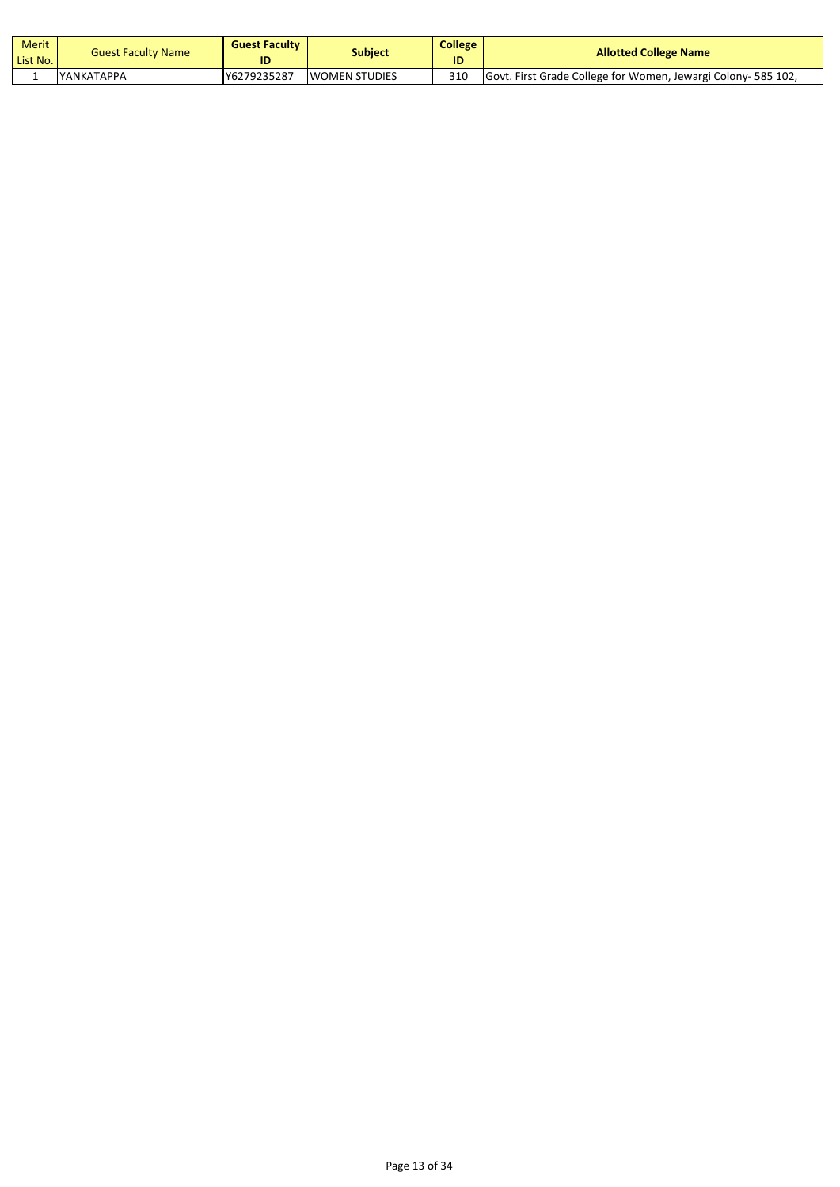| Merit<br>List No. | <b>Guest Faculty Name</b> | <b>Guest Faculty</b><br>ID | Subject              | <b>College</b><br>ID | <b>Allotted College Name</b>                                 |
|-------------------|---------------------------|----------------------------|----------------------|----------------------|--------------------------------------------------------------|
|                   | <b>IYANKATAPPA</b>        | Y6279235287                | <b>WOMEN STUDIES</b> | 310                  | Govt. First Grade College for Women, Jewargi Colony-585 102, |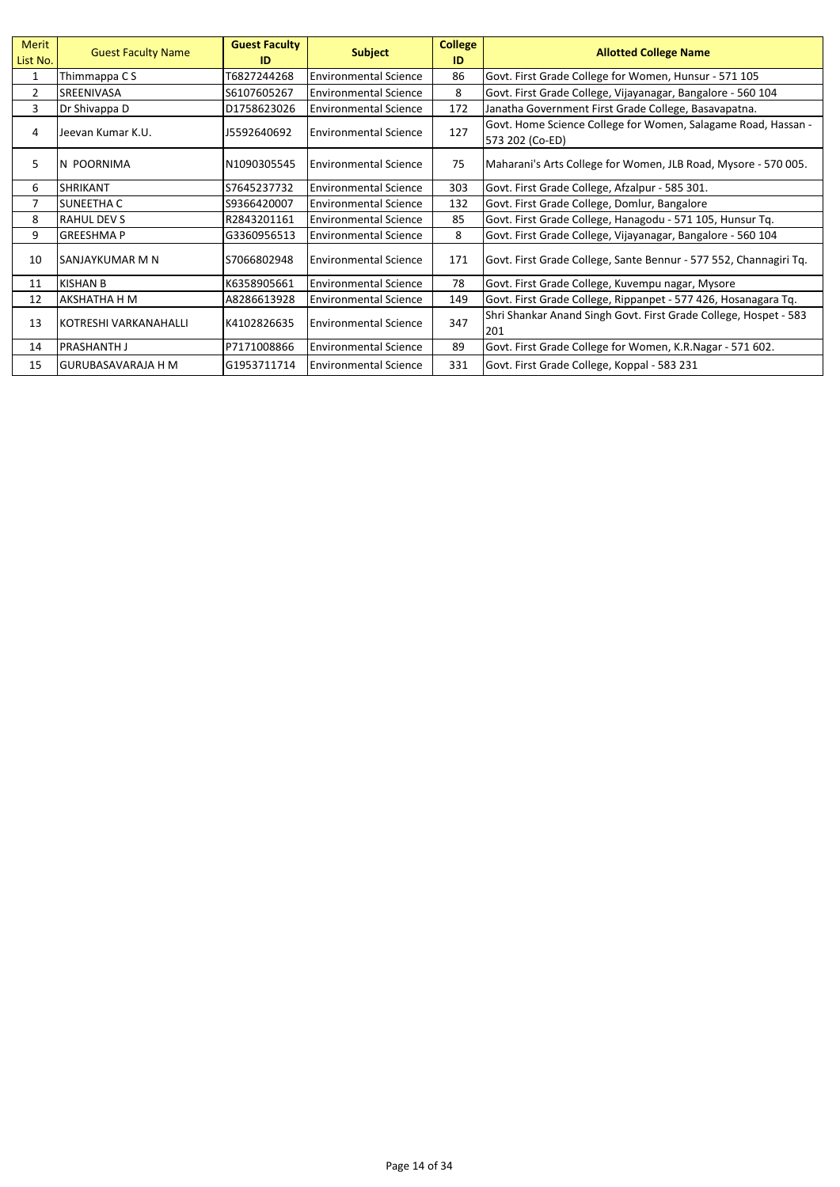| <b>Merit</b><br>List No. | <b>Guest Faculty Name</b> | <b>Guest Faculty</b><br>ID | <b>Subject</b>               | <b>College</b><br>ID | <b>Allotted College Name</b>                                                     |
|--------------------------|---------------------------|----------------------------|------------------------------|----------------------|----------------------------------------------------------------------------------|
| 1                        | Thimmappa C S             | T6827244268                | <b>Environmental Science</b> | 86                   | Govt. First Grade College for Women, Hunsur - 571 105                            |
| $\overline{2}$           | SREENIVASA                | S6107605267                | <b>Environmental Science</b> | 8                    | Govt. First Grade College, Vijayanagar, Bangalore - 560 104                      |
| 3                        | Dr Shivappa D             | D1758623026                | <b>Environmental Science</b> | 172                  | Janatha Government First Grade College, Basavapatna.                             |
| 4                        | Jeevan Kumar K.U.         | 15592640692                | <b>Environmental Science</b> | 127                  | Govt. Home Science College for Women, Salagame Road, Hassan -<br>573 202 (Co-ED) |
| 5                        | N POORNIMA                | N1090305545                | <b>Environmental Science</b> | 75                   | Maharani's Arts College for Women, JLB Road, Mysore - 570 005.                   |
| 6                        | <b>SHRIKANT</b>           | S7645237732                | <b>Environmental Science</b> | 303                  | Govt. First Grade College, Afzalpur - 585 301.                                   |
| $\overline{7}$           | SUNEETHA C                | S9366420007                | <b>Environmental Science</b> | 132                  | Govt. First Grade College, Domlur, Bangalore                                     |
| 8                        | <b>RAHUL DEV S</b>        | R2843201161                | <b>Environmental Science</b> | 85                   | Govt. First Grade College, Hanagodu - 571 105, Hunsur Tq.                        |
| 9                        | <b>GREESHMAP</b>          | G3360956513                | <b>Environmental Science</b> | 8                    | Govt. First Grade College, Vijayanagar, Bangalore - 560 104                      |
| 10                       | SANJAYKUMAR M N           | S7066802948                | <b>Environmental Science</b> | 171                  | Govt. First Grade College, Sante Bennur - 577 552, Channagiri Tq.                |
| 11                       | <b>KISHAN B</b>           | K6358905661                | <b>Environmental Science</b> | 78                   | Govt. First Grade College, Kuvempu nagar, Mysore                                 |
| 12                       | AKSHATHA H M              | A8286613928                | <b>Environmental Science</b> | 149                  | Govt. First Grade College, Rippanpet - 577 426, Hosanagara Tq.                   |
| 13                       | KOTRESHI VARKANAHALLI     | K4102826635                | <b>Environmental Science</b> | 347                  | Shri Shankar Anand Singh Govt. First Grade College, Hospet - 583<br>201          |
| 14                       | <b>PRASHANTH J</b>        | P7171008866                | <b>Environmental Science</b> | 89                   | Govt. First Grade College for Women, K.R.Nagar - 571 602.                        |
| 15                       | lGURUBASAVARAJA H M       | G1953711714                | <b>Environmental Science</b> | 331                  | Govt. First Grade College, Koppal - 583 231                                      |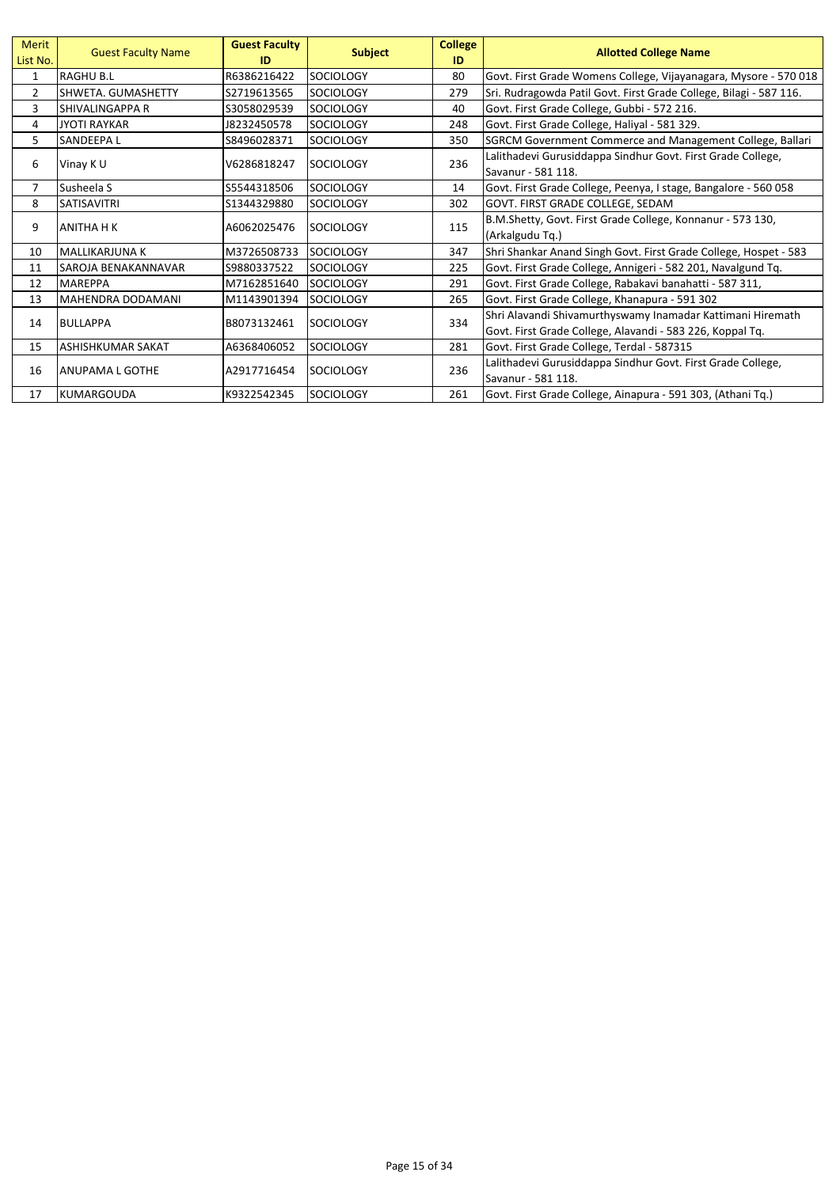| Merit<br>List No. | <b>Guest Faculty Name</b> | <b>Guest Faculty</b><br>ID | <b>Subject</b>   | <b>College</b><br>ID | <b>Allotted College Name</b>                                       |
|-------------------|---------------------------|----------------------------|------------------|----------------------|--------------------------------------------------------------------|
| 1                 | <b>RAGHU B.L</b>          | R6386216422                | <b>SOCIOLOGY</b> | 80                   | Govt. First Grade Womens College, Vijayanagara, Mysore - 570 018   |
| 2                 | SHWETA, GUMASHETTY        | S2719613565                | <b>SOCIOLOGY</b> | 279                  | Sri. Rudragowda Patil Govt. First Grade College, Bilagi - 587 116. |
| 3                 | SHIVALINGAPPA R           | S3058029539                | <b>SOCIOLOGY</b> | 40                   | Govt. First Grade College, Gubbi - 572 216.                        |
| 4                 | <b>JYOTI RAYKAR</b>       | 18232450578                | <b>SOCIOLOGY</b> | 248                  | Govt. First Grade College, Haliyal - 581 329.                      |
| 5                 | SANDEEPA L                | S8496028371                | <b>SOCIOLOGY</b> | 350                  | SGRCM Government Commerce and Management College, Ballari          |
| 6                 | Vinay K U                 | V6286818247                | <b>SOCIOLOGY</b> | 236                  | Lalithadevi Gurusiddappa Sindhur Govt. First Grade College,        |
|                   |                           |                            |                  |                      | Savanur - 581 118.                                                 |
| $\overline{7}$    | Susheela S                | S5544318506                | SOCIOLOGY        | 14                   | Govt. First Grade College, Peenya, I stage, Bangalore - 560 058    |
| 8                 | <b>SATISAVITRI</b>        | S1344329880                | <b>SOCIOLOGY</b> | 302                  | GOVT. FIRST GRADE COLLEGE, SEDAM                                   |
| 9                 |                           | A6062025476                | <b>SOCIOLOGY</b> | 115                  | B.M.Shetty, Govt. First Grade College, Konnanur - 573 130,         |
|                   | ANITHA H K                |                            |                  |                      | (Arkalgudu Tq.)                                                    |
| 10                | <b>MALLIKARJUNA K</b>     | M3726508733                | <b>SOCIOLOGY</b> | 347                  | Shri Shankar Anand Singh Govt. First Grade College, Hospet - 583   |
| 11                | SAROJA BENAKANNAVAR       | S9880337522                | <b>SOCIOLOGY</b> | 225                  | Govt. First Grade College, Annigeri - 582 201, Navalgund Tq.       |
| 12                | <b>MAREPPA</b>            | M7162851640                | <b>SOCIOLOGY</b> | 291                  | Govt. First Grade College, Rabakavi banahatti - 587 311,           |
| 13                | <b>MAHENDRA DODAMANI</b>  | M1143901394                | SOCIOLOGY        | 265                  | Govt. First Grade College, Khanapura - 591 302                     |
| 14                | <b>BULLAPPA</b>           | B8073132461                | <b>SOCIOLOGY</b> | 334                  | Shri Alavandi Shivamurthyswamy Inamadar Kattimani Hiremath         |
|                   |                           |                            |                  |                      | Govt. First Grade College, Alavandi - 583 226, Koppal Tq.          |
| 15                | ASHISHKUMAR SAKAT         | A6368406052                | <b>SOCIOLOGY</b> | 281                  | Govt. First Grade College, Terdal - 587315                         |
| 16                | ANUPAMA L GOTHE           | A2917716454                |                  | 236                  | Lalithadevi Gurusiddappa Sindhur Govt. First Grade College,        |
|                   |                           |                            | <b>SOCIOLOGY</b> |                      | Savanur - 581 118.                                                 |
| 17                | KUMARGOUDA                | K9322542345                | <b>SOCIOLOGY</b> | 261                  | Govt. First Grade College, Ainapura - 591 303, (Athani Tq.)        |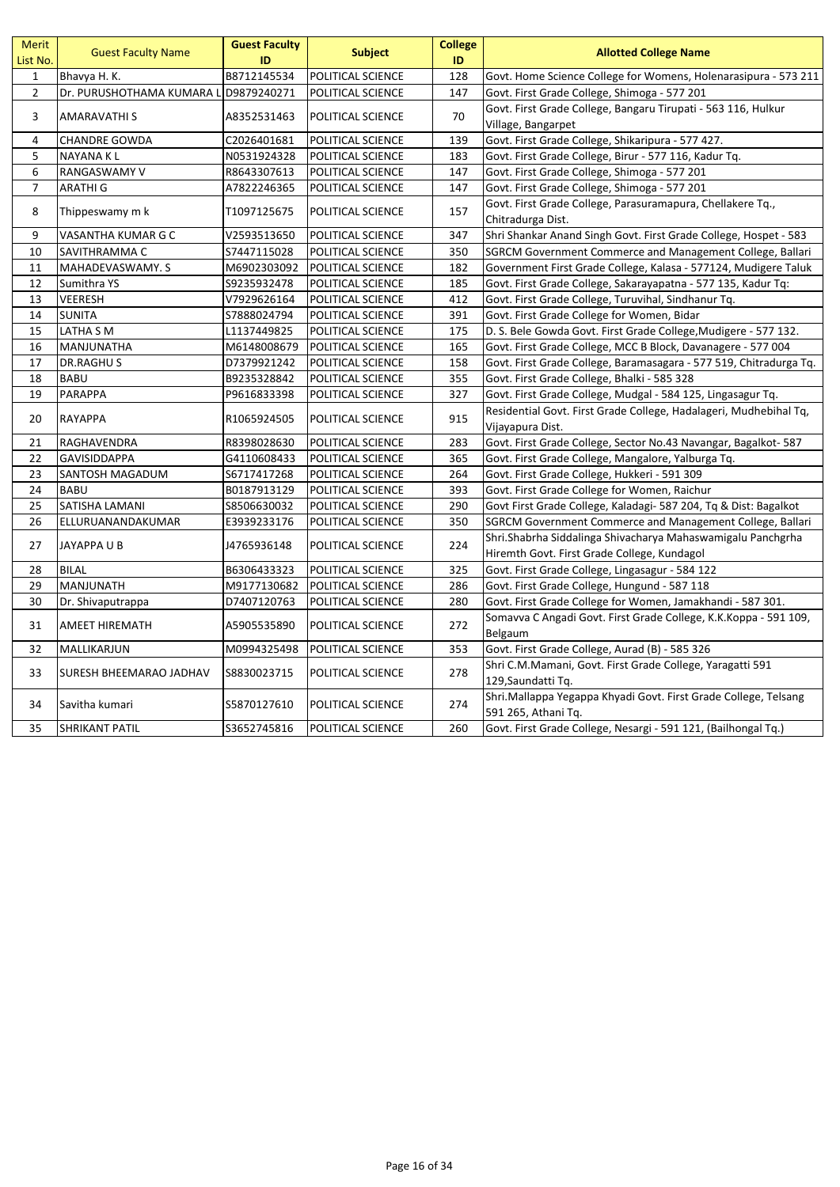| <b>Merit</b><br>List No. | <b>Guest Faculty Name</b>             | <b>Guest Faculty</b><br>ID | <b>Subject</b>           | <b>College</b><br>ID | <b>Allotted College Name</b>                                                                               |
|--------------------------|---------------------------------------|----------------------------|--------------------------|----------------------|------------------------------------------------------------------------------------------------------------|
| $\mathbf{1}$             | Bhavya H. K.                          | B8712145534                | POLITICAL SCIENCE        | 128                  | Govt. Home Science College for Womens, Holenarasipura - 573 211                                            |
| $\mathbf{2}$             | Dr. PURUSHOTHAMA KUMARA L D9879240271 |                            | POLITICAL SCIENCE        | 147                  | Govt. First Grade College, Shimoga - 577 201                                                               |
| 3                        | AMARAVATHI S                          | A8352531463                | POLITICAL SCIENCE        | 70                   | Govt. First Grade College, Bangaru Tirupati - 563 116, Hulkur<br>Village, Bangarpet                        |
| 4                        | CHANDRE GOWDA                         | C2026401681                | POLITICAL SCIENCE        | 139                  | Govt. First Grade College, Shikaripura - 577 427.                                                          |
| 5                        | NAYANA KL                             | N0531924328                | POLITICAL SCIENCE        | 183                  | Govt. First Grade College, Birur - 577 116, Kadur Tq.                                                      |
| 6                        | RANGASWAMY V                          | R8643307613                | POLITICAL SCIENCE        | 147                  | Govt. First Grade College, Shimoga - 577 201                                                               |
| $\overline{7}$           | <b>ARATHIG</b>                        | A7822246365                | POLITICAL SCIENCE        | 147                  | Govt. First Grade College, Shimoga - 577 201                                                               |
| 8                        | Thippeswamy m k                       | T1097125675                | POLITICAL SCIENCE        | 157                  | Govt. First Grade College, Parasuramapura, Chellakere Tq.,<br>Chitradurga Dist.                            |
| 9                        | VASANTHA KUMAR G C                    | V2593513650                | POLITICAL SCIENCE        | 347                  | Shri Shankar Anand Singh Govt. First Grade College, Hospet - 583                                           |
| 10                       | SAVITHRAMMA C                         | S7447115028                | POLITICAL SCIENCE        | 350                  | SGRCM Government Commerce and Management College, Ballari                                                  |
| 11                       | MAHADEVASWAMY. S                      | M6902303092                | POLITICAL SCIENCE        | 182                  | Government First Grade College, Kalasa - 577124, Mudigere Taluk                                            |
| 12                       | Sumithra YS                           | S9235932478                | POLITICAL SCIENCE        | 185                  | Govt. First Grade College, Sakarayapatna - 577 135, Kadur Tq:                                              |
| 13                       | VEERESH                               | V7929626164                | POLITICAL SCIENCE        | 412                  | Govt. First Grade College, Turuvihal, Sindhanur Tq.                                                        |
| 14                       | <b>SUNITA</b>                         | S7888024794                | POLITICAL SCIENCE        | 391                  | Govt. First Grade College for Women, Bidar                                                                 |
| 15                       | LATHA S M                             | L1137449825                | POLITICAL SCIENCE        | 175                  | D. S. Bele Gowda Govt. First Grade College, Mudigere - 577 132.                                            |
| 16                       | MANJUNATHA                            | M6148008679                | POLITICAL SCIENCE        | 165                  | Govt. First Grade College, MCC B Block, Davanagere - 577 004                                               |
| 17                       | <b>DR.RAGHUS</b>                      | D7379921242                | POLITICAL SCIENCE        | 158                  | Govt. First Grade College, Baramasagara - 577 519, Chitradurga Tq.                                         |
| 18                       | <b>BABU</b>                           | B9235328842                | POLITICAL SCIENCE        | 355                  | Govt. First Grade College, Bhalki - 585 328                                                                |
| 19                       | PARAPPA                               | P9616833398                | POLITICAL SCIENCE        | 327                  | Govt. First Grade College, Mudgal - 584 125, Lingasagur Tq.                                                |
| 20                       | RAYAPPA                               | R1065924505                | POLITICAL SCIENCE        | 915                  | Residential Govt. First Grade College, Hadalageri, Mudhebihal Tq,<br>Vijayapura Dist.                      |
| 21                       | RAGHAVENDRA                           | R8398028630                | POLITICAL SCIENCE        | 283                  | Govt. First Grade College, Sector No.43 Navangar, Bagalkot-587                                             |
| 22                       | <b>GAVISIDDAPPA</b>                   | G4110608433                | POLITICAL SCIENCE        | 365                  | Govt. First Grade College, Mangalore, Yalburga Tq.                                                         |
| 23                       | SANTOSH MAGADUM                       | S6717417268                | POLITICAL SCIENCE        | 264                  | Govt. First Grade College, Hukkeri - 591 309                                                               |
| 24                       | <b>BABU</b>                           | B0187913129                | POLITICAL SCIENCE        | 393                  | Govt. First Grade College for Women, Raichur                                                               |
| 25                       | SATISHA LAMANI                        | S8506630032                | POLITICAL SCIENCE        | 290                  | Govt First Grade College, Kaladagi- 587 204, Tq & Dist: Bagalkot                                           |
| 26                       | ELLURUANANDAKUMAR                     | E3939233176                | POLITICAL SCIENCE        | 350                  | SGRCM Government Commerce and Management College, Ballari                                                  |
| 27                       | JAYAPPA U B                           | J4765936148                | POLITICAL SCIENCE        | 224                  | Shri.Shabrha Siddalinga Shivacharya Mahaswamigalu Panchgrha<br>Hiremth Govt. First Grade College, Kundagol |
| 28                       | <b>BILAL</b>                          | B6306433323                | POLITICAL SCIENCE        | 325                  | Govt. First Grade College, Lingasagur - 584 122                                                            |
| 29                       | MANJUNATH                             | M9177130682                | POLITICAL SCIENCE        | 286                  | Govt. First Grade College, Hungund - 587 118                                                               |
| 30                       | Dr. Shivaputrappa                     | D7407120763                | POLITICAL SCIENCE        | 280                  | Govt. First Grade College for Women, Jamakhandi - 587 301.                                                 |
| 31                       | AMEET HIREMATH                        | A5905535890                | POLITICAL SCIENCE        | 272                  | Somavva C Angadi Govt. First Grade College, K.K.Koppa - 591 109,<br>Belgaum                                |
| 32                       | MALLIKARJUN                           | M0994325498                | POLITICAL SCIENCE        | 353                  | Govt. First Grade College, Aurad (B) - 585 326                                                             |
| 33                       | SURESH BHEEMARAO JADHAV               | S8830023715                | POLITICAL SCIENCE        | 278                  | Shri C.M.Mamani, Govt. First Grade College, Yaragatti 591<br>129, Saundatti Tq.                            |
| 34                       | Savitha kumari                        | S5870127610                | POLITICAL SCIENCE        | 274                  | Shri.Mallappa Yegappa Khyadi Govt. First Grade College, Telsang<br>591 265, Athani Tq.                     |
| 35                       | <b>SHRIKANT PATIL</b>                 | S3652745816                | <b>POLITICAL SCIENCE</b> | 260                  | Govt. First Grade College, Nesargi - 591 121, (Bailhongal Tq.)                                             |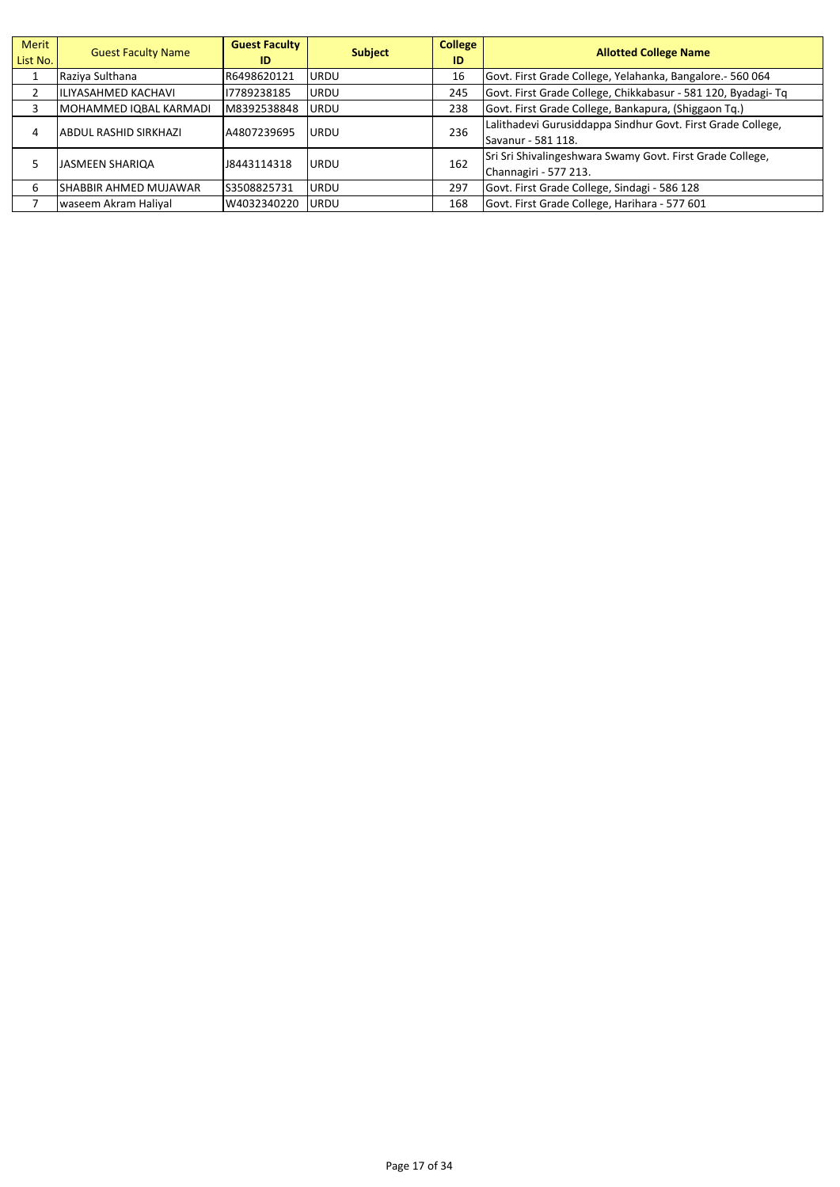| Merit<br>List No. | <b>Guest Faculty Name</b> | <b>Guest Faculty</b><br>ID | <b>Subject</b> | <b>College</b><br>ID | <b>Allotted College Name</b>                                                       |
|-------------------|---------------------------|----------------------------|----------------|----------------------|------------------------------------------------------------------------------------|
|                   | Raziya Sulthana           | R6498620121                | <b>URDU</b>    | 16                   | Govt. First Grade College, Yelahanka, Bangalore. - 560 064                         |
|                   | IILIYASAHMED KACHAVI      | 17789238185                | URDU           | 245                  | Govt. First Grade College, Chikkabasur - 581 120, Byadagi- Tq                      |
|                   | MOHAMMED IQBAL KARMADI    | M8392538848                | <b>URDU</b>    | 238                  | Govt. First Grade College, Bankapura, (Shiggaon Tq.)                               |
| 4                 | ABDUL RASHID SIRKHAZI     | A4807239695                | <b>URDU</b>    | 236                  | Lalithadevi Gurusiddappa Sindhur Govt. First Grade College,<br>Savanur - 581 118.  |
|                   | <b>JASMEEN SHARIOA</b>    | 18443114318                | <b>URDU</b>    | 162                  | Sri Sri Shivalingeshwara Swamy Govt. First Grade College,<br>Channagiri - 577 213. |
| 6                 | ISHABBIR AHMED MUJAWAR    | S3508825731                | <b>URDU</b>    | 297                  | Govt. First Grade College, Sindagi - 586 128                                       |
|                   | waseem Akram Haliyal      | W4032340220                | URDU           | 168                  | Govt. First Grade College, Harihara - 577 601                                      |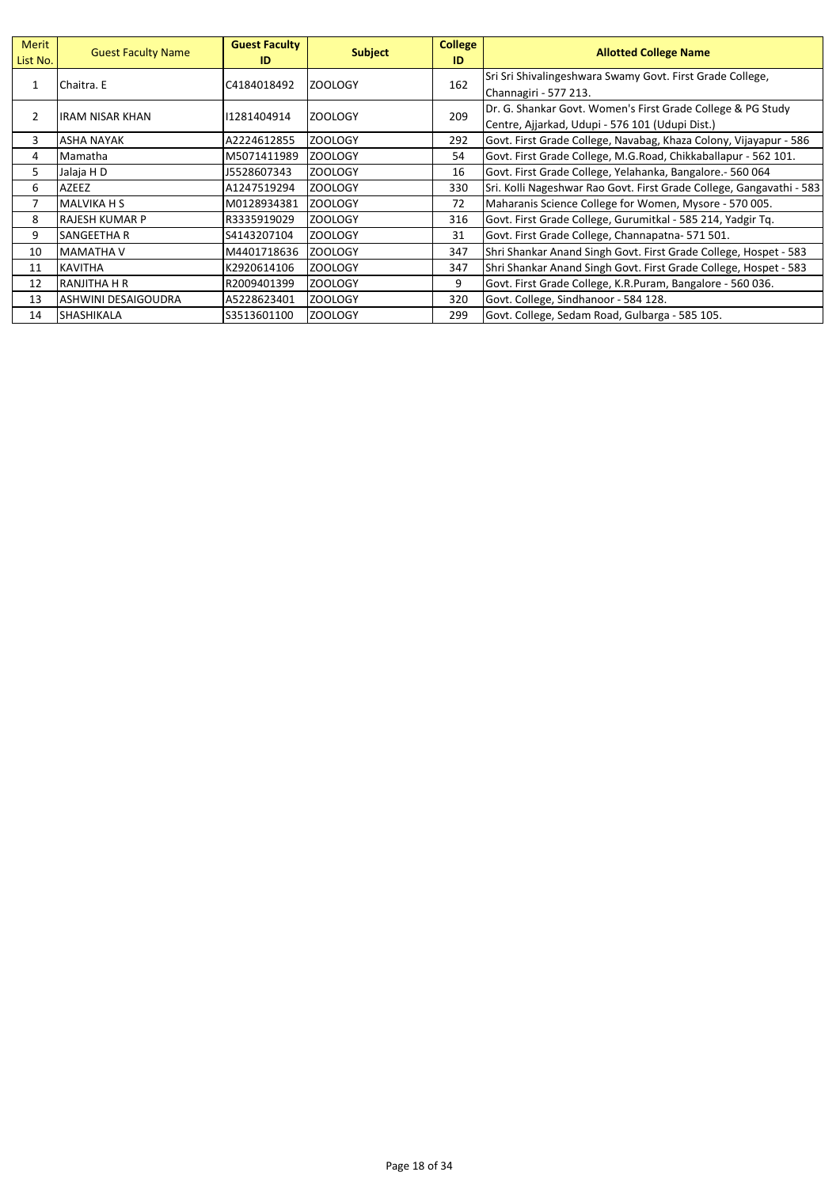| Merit<br>List No. | <b>Guest Faculty Name</b>  | <b>Guest Faculty</b><br>ID | <b>Subject</b> | <b>College</b><br>ID | <b>Allotted College Name</b>                                         |
|-------------------|----------------------------|----------------------------|----------------|----------------------|----------------------------------------------------------------------|
| $\mathbf{1}$      | Chaitra. E                 | C4184018492                | <b>ZOOLOGY</b> | 162                  | Sri Sri Shivalingeshwara Swamy Govt. First Grade College,            |
|                   |                            |                            |                |                      | Channagiri - 577 213.                                                |
| 2                 | IRAM NISAR KHAN            | 11281404914                | <b>ZOOLOGY</b> | 209                  | Dr. G. Shankar Govt. Women's First Grade College & PG Study          |
|                   |                            |                            |                |                      | Centre, Ajjarkad, Udupi - 576 101 (Udupi Dist.)                      |
| 3                 | <b>ASHA NAYAK</b>          | A2224612855                | <b>ZOOLOGY</b> | 292                  | Govt. First Grade College, Navabag, Khaza Colony, Vijayapur - 586    |
| 4                 | Mamatha                    | M5071411989                | <b>ZOOLOGY</b> | 54                   | Govt. First Grade College, M.G.Road, Chikkaballapur - 562 101.       |
| 5                 | Jalaja H D                 | J5528607343                | <b>ZOOLOGY</b> | 16                   | Govt. First Grade College, Yelahanka, Bangalore. - 560 064           |
| 6                 | AZEEZ                      | A1247519294                | <b>ZOOLOGY</b> | 330                  | Sri. Kolli Nageshwar Rao Govt. First Grade College, Gangavathi - 583 |
| 7                 | <b>MALVIKA H S</b>         | M0128934381                | <b>ZOOLOGY</b> | 72                   | Maharanis Science College for Women, Mysore - 570 005.               |
| 8                 | <b>RAJESH KUMAR P</b>      | R3335919029                | <b>ZOOLOGY</b> | 316                  | Govt. First Grade College, Gurumitkal - 585 214, Yadgir Tq.          |
| 9                 | SANGEETHA R                | S4143207104                | <b>ZOOLOGY</b> | 31                   | Govt. First Grade College, Channapatna-571501.                       |
| 10                | <b>MAMATHA V</b>           | M4401718636                | <b>ZOOLOGY</b> | 347                  | Shri Shankar Anand Singh Govt. First Grade College, Hospet - 583     |
| 11                | <b>KAVITHA</b>             | K2920614106                | <b>ZOOLOGY</b> | 347                  | Shri Shankar Anand Singh Govt. First Grade College, Hospet - 583     |
| 12                | RANJITHA H R               | R2009401399                | <b>ZOOLOGY</b> | 9                    | Govt. First Grade College, K.R.Puram, Bangalore - 560 036.           |
| 13                | <b>ASHWINI DESAIGOUDRA</b> | A5228623401                | <b>ZOOLOGY</b> | 320                  | Govt. College, Sindhanoor - 584 128.                                 |
| 14                | <b>SHASHIKALA</b>          | S3513601100                | <b>ZOOLOGY</b> | 299                  | Govt. College, Sedam Road, Gulbarga - 585 105.                       |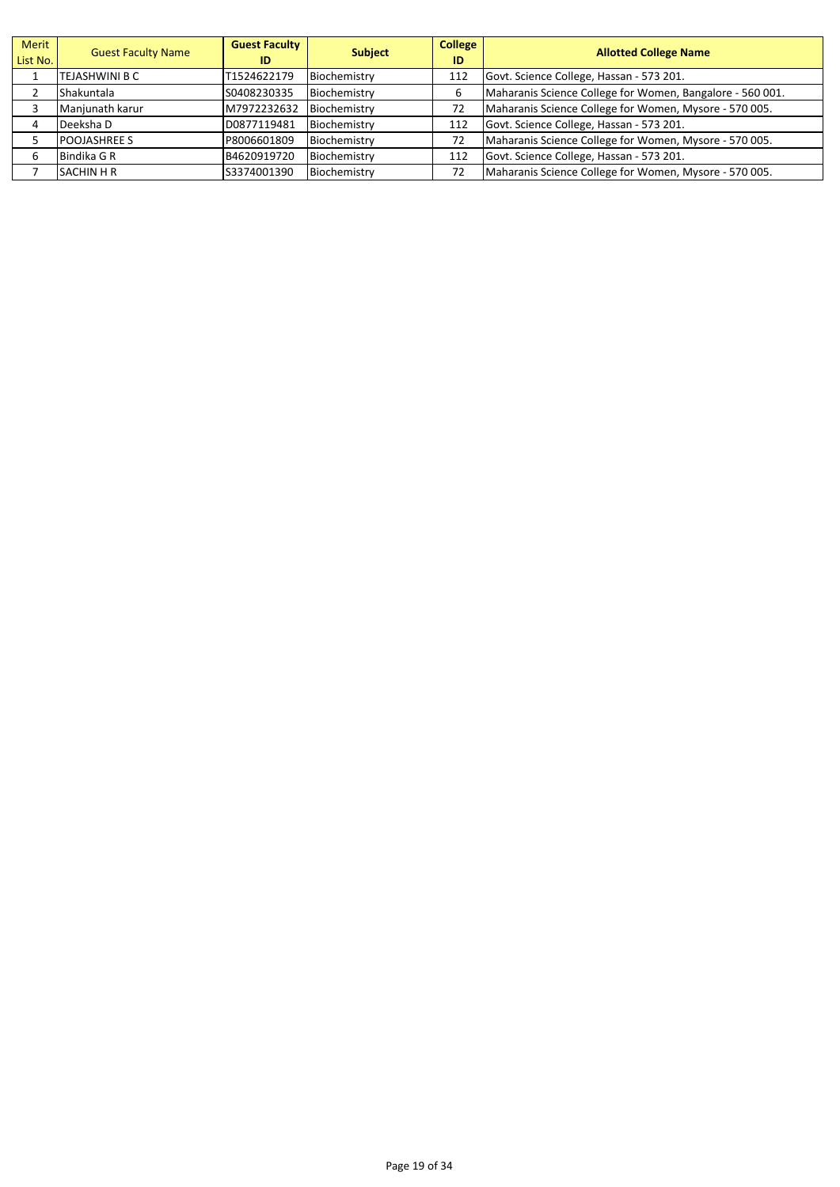| Merit<br>List No. | <b>Guest Faculty Name</b> | <b>Guest Faculty</b><br>ID | <b>Subject</b> | <b>College</b><br>ID | <b>Allotted College Name</b>                              |
|-------------------|---------------------------|----------------------------|----------------|----------------------|-----------------------------------------------------------|
|                   | TEJASHWINI B C            | T1524622179                | Biochemistry   | 112                  | Govt. Science College, Hassan - 573 201.                  |
|                   | Shakuntala                | S0408230335                | Biochemistry   |                      | Maharanis Science College for Women, Bangalore - 560 001. |
|                   | Manjunath karur           | M7972232632                | Biochemistry   | 72                   | Maharanis Science College for Women, Mysore - 570 005.    |
|                   | Deeksha D                 | D0877119481                | Biochemistry   | 112                  | Govt. Science College, Hassan - 573 201.                  |
|                   | <b>POOJASHREE S</b>       | P8006601809                | Biochemistry   | 72                   | Maharanis Science College for Women, Mysore - 570 005.    |
| 6                 | Bindika G R               | B4620919720                | Biochemistry   | 112                  | Govt. Science College, Hassan - 573 201.                  |
|                   | <b>SACHIN H R</b>         | S3374001390                | Biochemistry   | 72                   | Maharanis Science College for Women, Mysore - 570 005.    |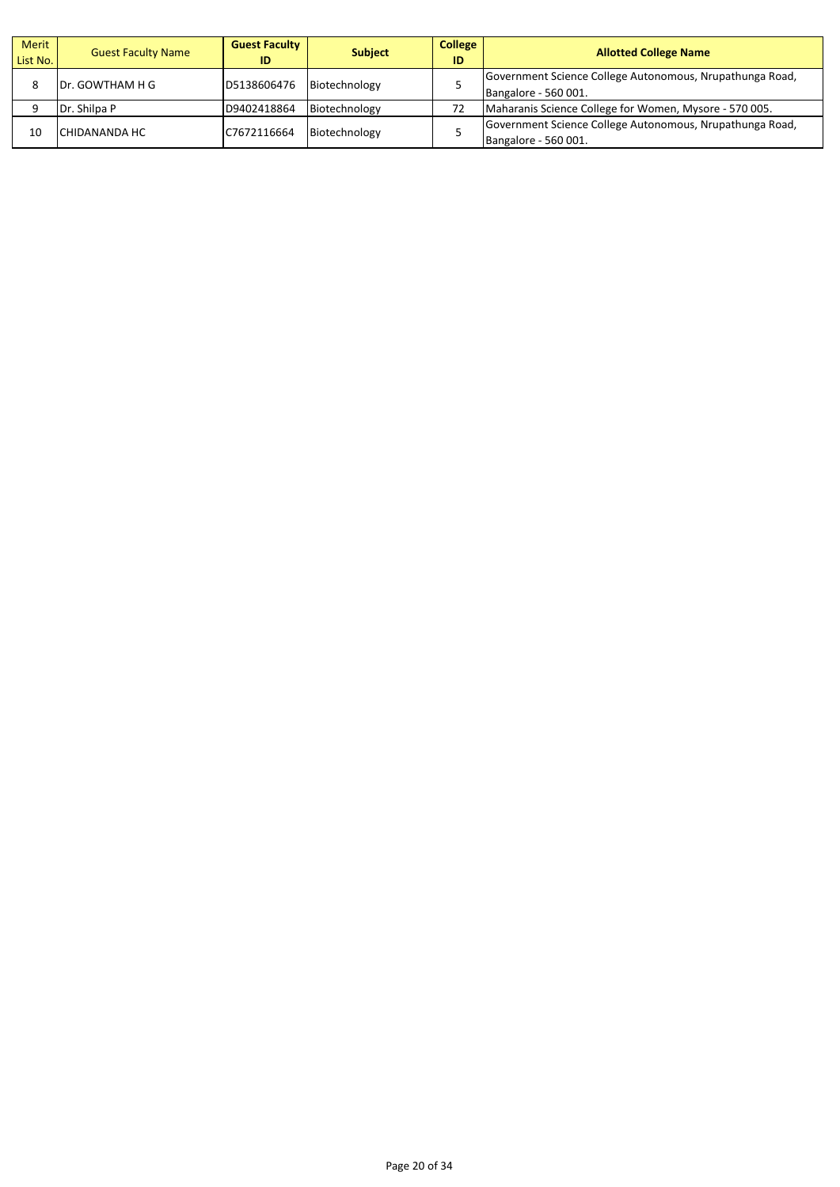| <b>Merit</b><br>List No. | <b>Guest Faculty Name</b> | <b>Guest Faculty</b><br>ID | <b>Subject</b> | <b>College</b><br>ID | <b>Allotted College Name</b>                                                     |
|--------------------------|---------------------------|----------------------------|----------------|----------------------|----------------------------------------------------------------------------------|
|                          | IDr. GOWTHAM H G          | D5138606476                | Biotechnology  |                      | Government Science College Autonomous, Nrupathunga Road,<br>Bangalore - 560 001. |
|                          | Dr. Shilpa P              | D9402418864                | Biotechnology  | 72                   | Maharanis Science College for Women, Mysore - 570 005.                           |
| 10                       | <b>CHIDANANDA HC</b>      | C7672116664                | Biotechnology  |                      | Government Science College Autonomous, Nrupathunga Road,<br>Bangalore - 560 001. |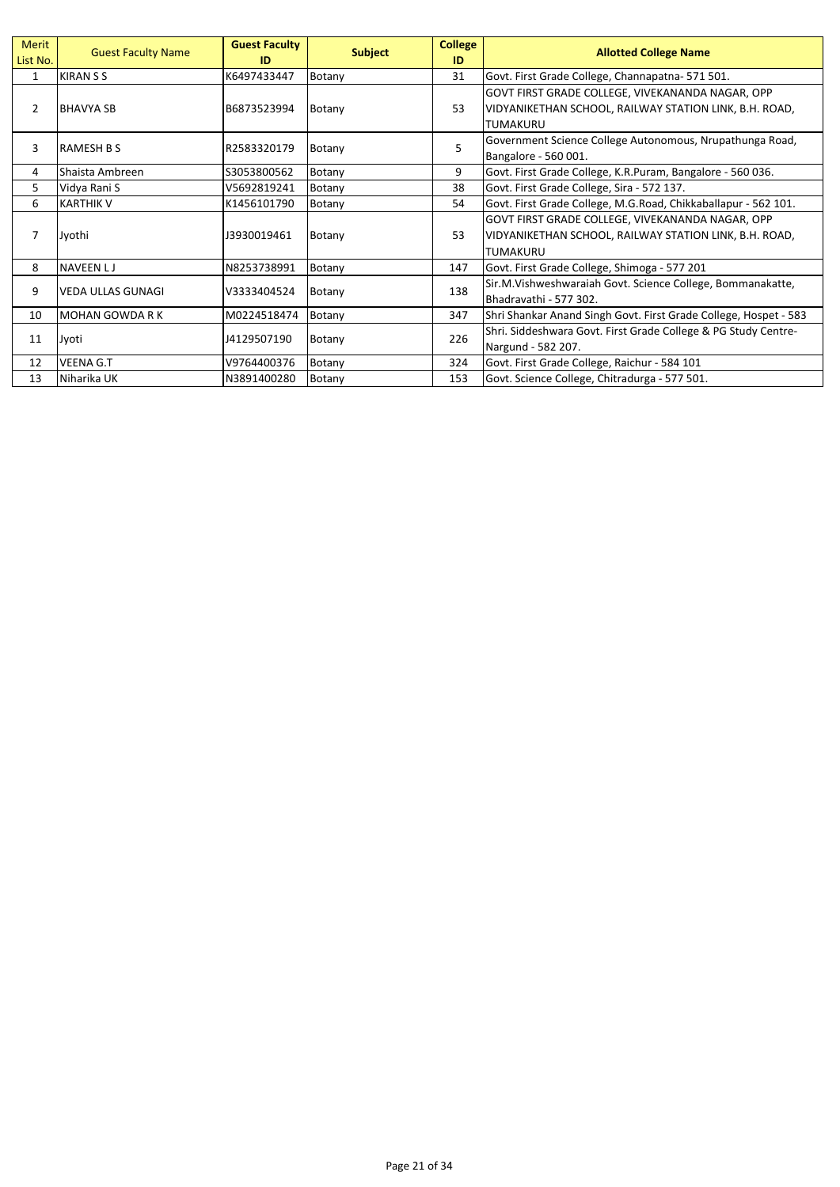| Merit<br>List No. | <b>Guest Faculty Name</b> | <b>Guest Faculty</b><br>ID | <b>Subject</b> | <b>College</b><br>ID | <b>Allotted College Name</b>                                                                                                  |
|-------------------|---------------------------|----------------------------|----------------|----------------------|-------------------------------------------------------------------------------------------------------------------------------|
| $\mathbf{1}$      | <b>KIRAN S S</b>          | K6497433447                | Botany         | 31                   | Govt. First Grade College, Channapatna-571501.                                                                                |
| $\overline{2}$    | <b>BHAVYA SB</b>          | B6873523994                | Botany         | 53                   | GOVT FIRST GRADE COLLEGE, VIVEKANANDA NAGAR, OPP<br>VIDYANIKETHAN SCHOOL, RAILWAY STATION LINK, B.H. ROAD,<br><b>TUMAKURU</b> |
| 3                 | <b>RAMESH B S</b>         | R2583320179                | Botany         | 5                    | Government Science College Autonomous, Nrupathunga Road,<br>Bangalore - 560 001.                                              |
| 4                 | Shaista Ambreen           | S3053800562                | Botany         | 9                    | Govt. First Grade College, K.R.Puram, Bangalore - 560 036.                                                                    |
| 5                 | Vidya Rani S              | V5692819241                | Botany         | 38                   | Govt. First Grade College, Sira - 572 137.                                                                                    |
| 6                 | <b>KARTHIK V</b>          | K1456101790                | Botany         | 54                   | Govt. First Grade College, M.G.Road, Chikkaballapur - 562 101.                                                                |
| 7                 | Jyothi                    | J3930019461                | Botany         | 53                   | GOVT FIRST GRADE COLLEGE, VIVEKANANDA NAGAR, OPP<br>VIDYANIKETHAN SCHOOL, RAILWAY STATION LINK, B.H. ROAD,<br><b>TUMAKURU</b> |
| 8                 | <b>NAVEEN LJ</b>          | N8253738991                | Botany         | 147                  | Govt. First Grade College, Shimoga - 577 201                                                                                  |
| 9                 | VEDA ULLAS GUNAGI         | V3333404524                | Botany         | 138                  | Sir.M.Vishweshwaraiah Govt. Science College, Bommanakatte,<br>Bhadravathi - 577 302.                                          |
| 10                | <b>MOHAN GOWDA RK</b>     | M0224518474                | Botany         | 347                  | Shri Shankar Anand Singh Govt. First Grade College, Hospet - 583                                                              |
| 11                | Jyoti                     | J4129507190                | Botany         | 226                  | Shri. Siddeshwara Govt. First Grade College & PG Study Centre-<br>Nargund - 582 207.                                          |
| 12                | <b>VEENA G.T</b>          | V9764400376                | Botany         | 324                  | Govt. First Grade College, Raichur - 584 101                                                                                  |
| 13                | Niharika UK               | N3891400280                | Botany         | 153                  | Govt. Science College, Chitradurga - 577 501.                                                                                 |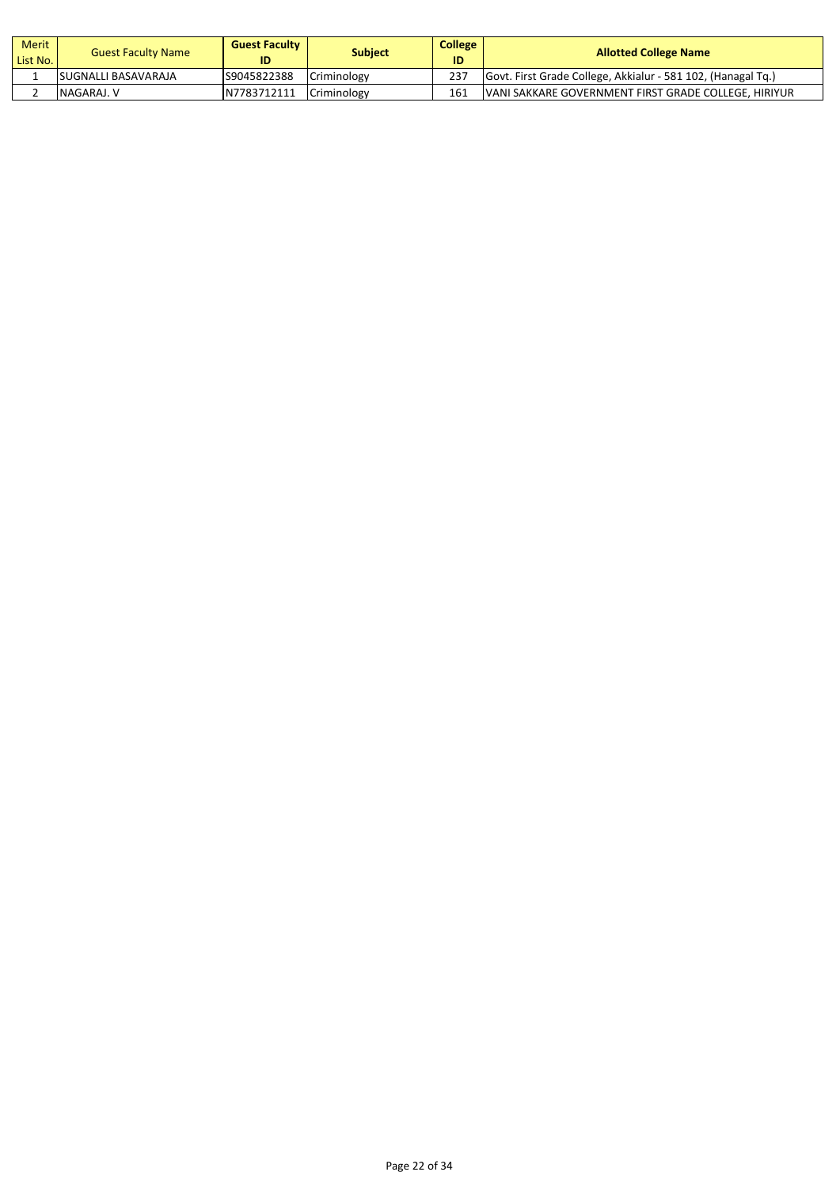| Merit<br>List No. | <b>Guest Faculty Name</b>   | <b>Guest Faculty</b><br>ID | Subject     | <b>College</b><br>ID | <b>Allotted College Name</b>                                 |
|-------------------|-----------------------------|----------------------------|-------------|----------------------|--------------------------------------------------------------|
|                   | <b>ISUGNALLI BASAVARAJA</b> | S9045822388                | Criminology | 237                  | Govt. First Grade College, Akkialur - 581 102, (Hanagal Tg.) |
|                   | NAGARAJ. V                  | N7783712111                | Criminology | 161                  | <b>IVANI SAKKARE GOVERNMENT FIRST GRADE COLLEGE. HIRIYUR</b> |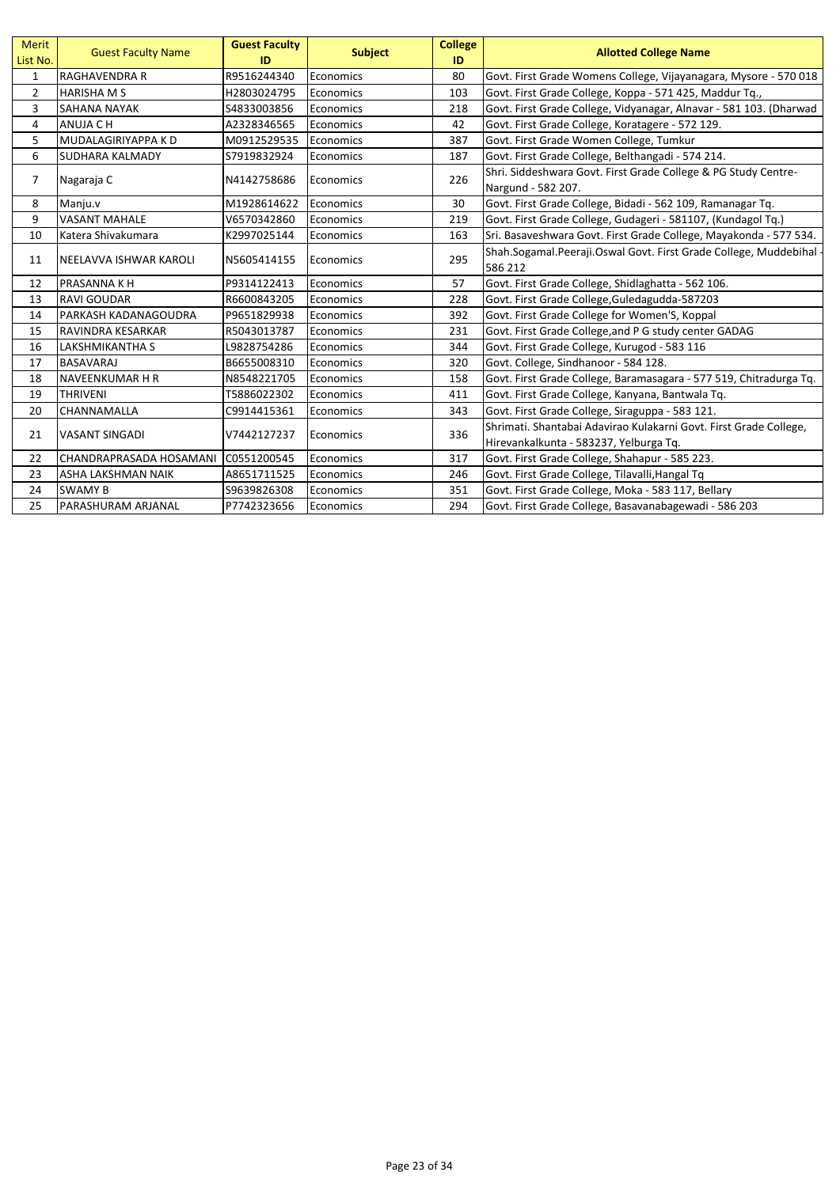| <b>Merit</b><br>List No. | <b>Guest Faculty Name</b>           | <b>Guest Faculty</b><br>ID | <b>Subject</b> | <b>College</b><br>ID | <b>Allotted College Name</b>                                                |
|--------------------------|-------------------------------------|----------------------------|----------------|----------------------|-----------------------------------------------------------------------------|
| $\mathbf{1}$             | <b>RAGHAVENDRA R</b>                | R9516244340                | Economics      | 80                   | Govt. First Grade Womens College, Vijayanagara, Mysore - 570 018            |
| $\overline{2}$           | <b>HARISHA M S</b>                  | H2803024795                | Economics      | 103                  | Govt. First Grade College, Koppa - 571 425, Maddur Tq.,                     |
| 3                        | <b>SAHANA NAYAK</b>                 | S4833003856                | Economics      | 218                  | Govt. First Grade College, Vidyanagar, Alnavar - 581 103. (Dharwad          |
| 4                        | ANUJA C H                           | A2328346565                | Economics      | 42                   | Govt. First Grade College, Koratagere - 572 129.                            |
| 5                        | MUDALAGIRIYAPPA K D                 | M0912529535                | Economics      | 387                  | Govt. First Grade Women College, Tumkur                                     |
| 6                        | <b>SUDHARA KALMADY</b>              | S7919832924                | Economics      | 187                  | Govt. First Grade College, Belthangadi - 574 214.                           |
| $\overline{7}$           | Nagaraja C                          | N4142758686                | Economics      | 226                  | Shri. Siddeshwara Govt. First Grade College & PG Study Centre-              |
|                          |                                     |                            |                |                      | Nargund - 582 207.                                                          |
| 8                        | Manju.v                             | M1928614622                | Economics      | 30                   | Govt. First Grade College, Bidadi - 562 109, Ramanagar Tq.                  |
| 9                        | <b>VASANT MAHALE</b>                | V6570342860                | Economics      | 219                  | Govt. First Grade College, Gudageri - 581107, (Kundagol Tq.)                |
| 10                       | Katera Shivakumara                  | K2997025144                | Economics      | 163                  | Sri. Basaveshwara Govt. First Grade College, Mayakonda - 577 534.           |
| 11                       | NEELAVVA ISHWAR KAROLI              | N5605414155                | Economics      | 295                  | Shah.Sogamal.Peeraji.Oswal Govt. First Grade College, Muddebihal<br>586 212 |
| 12                       | <b>PRASANNA K H</b>                 | P9314122413                | Economics      | 57                   | Govt. First Grade College, Shidlaghatta - 562 106.                          |
| 13                       | <b>RAVI GOUDAR</b>                  | R6600843205                | Economics      | 228                  | Govt. First Grade College, Guledagudda-587203                               |
| 14                       | PARKASH KADANAGOUDRA                | P9651829938                | Economics      | 392                  | Govt. First Grade College for Women'S, Koppal                               |
| 15                       | RAVINDRA KESARKAR                   | R5043013787                | Economics      | 231                  | Govt. First Grade College, and P G study center GADAG                       |
| 16                       | LAKSHMIKANTHA S                     | L9828754286                | Economics      | 344                  | Govt. First Grade College, Kurugod - 583 116                                |
| 17                       | <b>BASAVARAJ</b>                    | B6655008310                | Economics      | 320                  | Govt. College, Sindhanoor - 584 128.                                        |
| 18                       | <b>NAVEENKUMAR H R</b>              | N8548221705                | Economics      | 158                  | Govt. First Grade College, Baramasagara - 577 519, Chitradurga Tq.          |
| 19                       | <b>THRIVENI</b>                     | T5886022302                | Economics      | 411                  | Govt. First Grade College, Kanyana, Bantwala Tq.                            |
| 20                       | CHANNAMALLA                         | C9914415361                | Economics      | 343                  | Govt. First Grade College, Siraguppa - 583 121.                             |
| 21                       | <b>VASANT SINGADI</b>               | V7442127237                | Economics      | 336                  | Shrimati. Shantabai Adavirao Kulakarni Govt. First Grade College,           |
|                          |                                     |                            |                |                      | Hirevankalkunta - 583237, Yelburga Tq.                                      |
| 22                       | CHANDRAPRASADA HOSAMANI C0551200545 |                            | Economics      | 317                  | Govt. First Grade College, Shahapur - 585 223.                              |
| 23                       | <b>ASHA LAKSHMAN NAIK</b>           | A8651711525                | Economics      | 246                  | Govt. First Grade College, Tilavalli, Hangal Tq                             |
| 24                       | <b>SWAMY B</b>                      | S9639826308                | Economics      | 351                  | Govt. First Grade College, Moka - 583 117, Bellary                          |
| 25                       | PARASHURAM ARJANAL                  | P7742323656                | Economics      | 294                  | Govt. First Grade College, Basavanabagewadi - 586 203                       |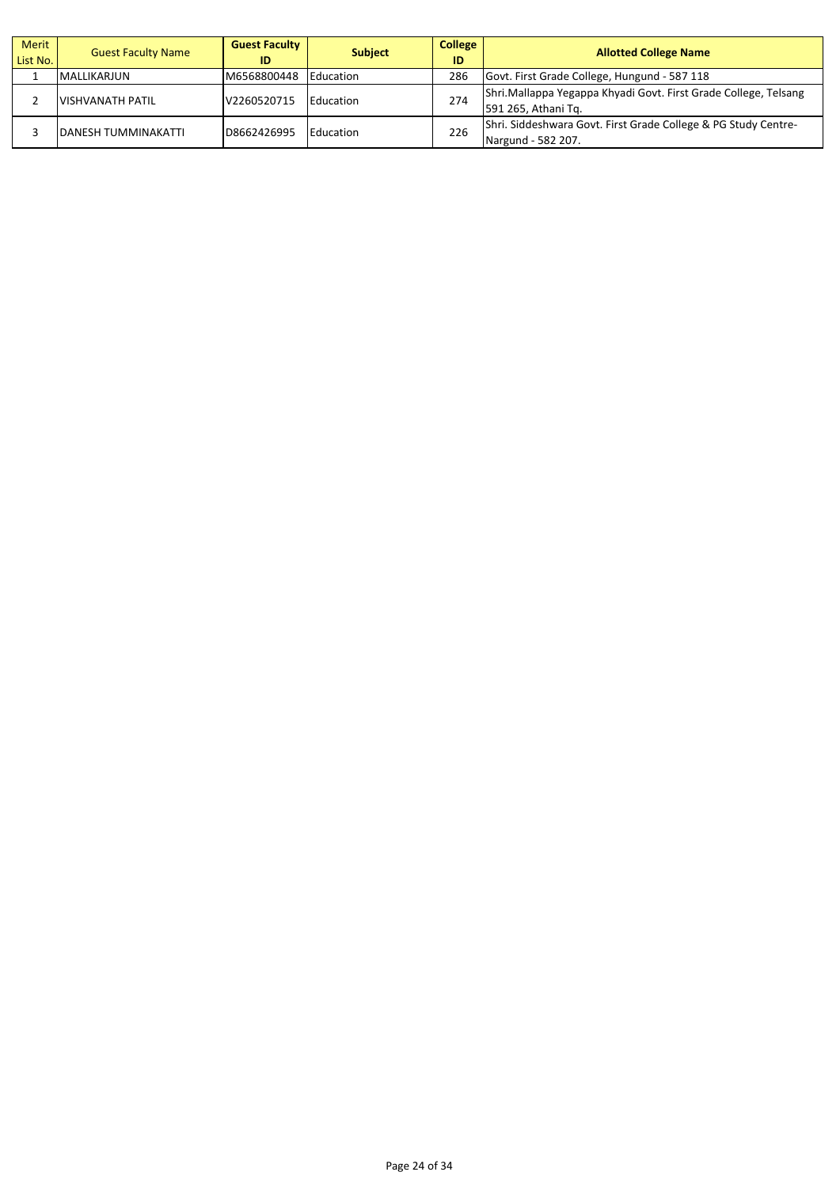| Merit<br>List No. | <b>Guest Faculty Name</b>  | <b>Guest Faculty</b><br>ID | <b>Subject</b>   | <b>College</b><br>ID | <b>Allotted College Name</b>                                                           |
|-------------------|----------------------------|----------------------------|------------------|----------------------|----------------------------------------------------------------------------------------|
|                   | <b>MALLIKARJUN</b>         | M6568800448                | <b>Education</b> | 286                  | Govt. First Grade College, Hungund - 587 118                                           |
|                   | <b>VISHVANATH PATIL</b>    | V2260520715                | Education        | 274                  | Shri.Mallappa Yegappa Khyadi Govt. First Grade College, Telsang<br>591 265, Athani Tq. |
|                   | <b>DANESH TUMMINAKATTI</b> | D8662426995                | Education        | 226                  | Shri. Siddeshwara Govt. First Grade College & PG Study Centre-<br>Nargund - 582 207.   |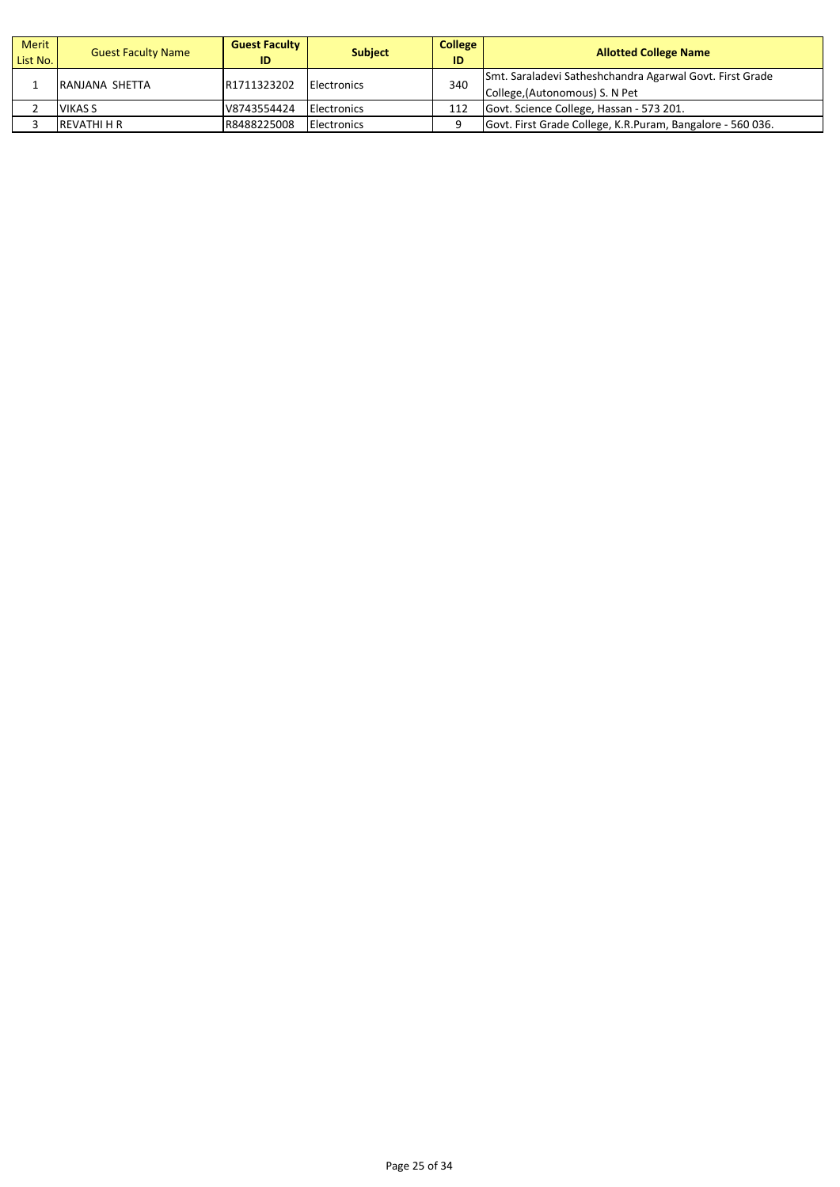| <b>Merit</b><br>List No. | <b>Guest Faculty Name</b> | <b>Guest Faculty</b><br>ID | <b>Subject</b>      | <b>College</b><br>ID | <b>Allotted College Name</b>                                                               |
|--------------------------|---------------------------|----------------------------|---------------------|----------------------|--------------------------------------------------------------------------------------------|
|                          | RANJANA SHETTA            | R1711323202                | <b>IElectronics</b> | 340                  | Smt. Saraladevi Satheshchandra Agarwal Govt. First Grade<br>College, (Autonomous) S. N Pet |
|                          | <b>VIKAS S</b>            | V8743554424                | <b>Electronics</b>  | 112                  | Govt. Science College, Hassan - 573 201.                                                   |
|                          | REVATHI H R               | R8488225008                | <b>Electronics</b>  |                      | Govt. First Grade College, K.R.Puram, Bangalore - 560 036.                                 |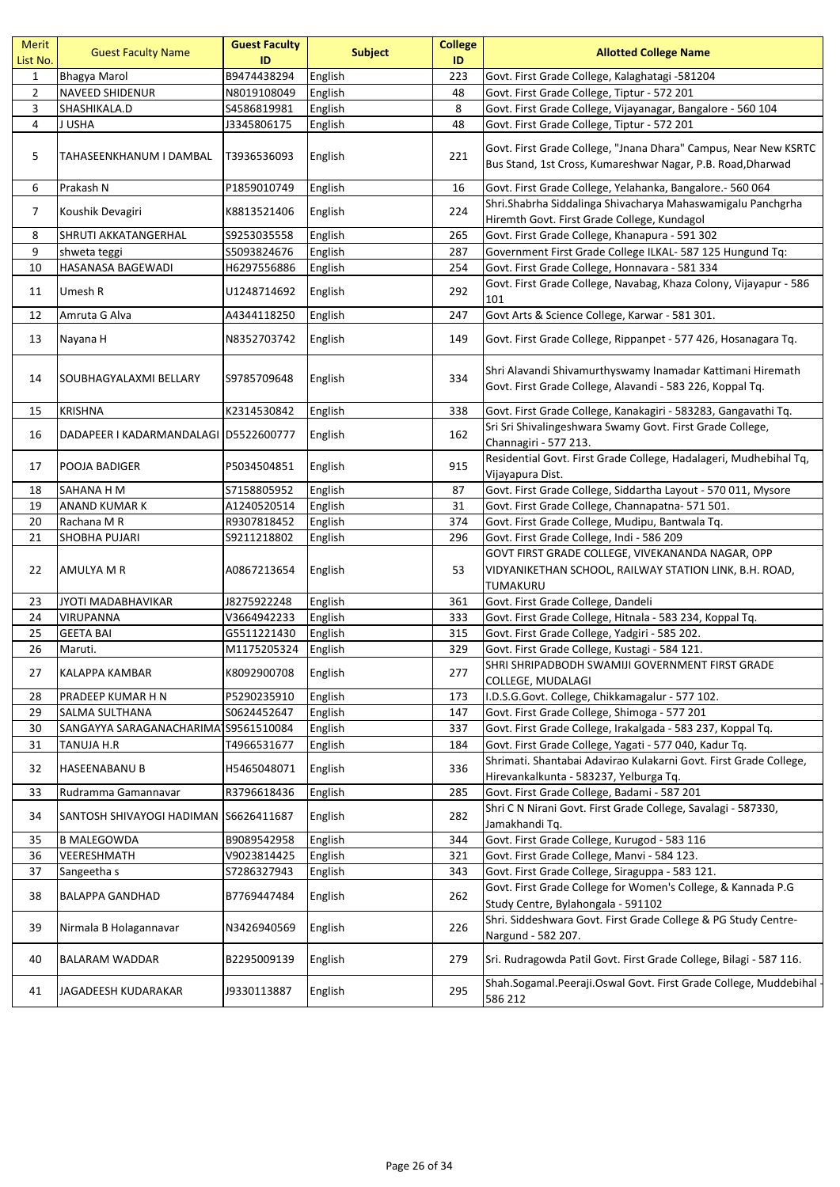| Merit<br>List No. | <b>Guest Faculty Name</b>             | <b>Guest Faculty</b><br>ID | <b>Subject</b> | <b>College</b><br>ID | <b>Allotted College Name</b>                                                                                                   |
|-------------------|---------------------------------------|----------------------------|----------------|----------------------|--------------------------------------------------------------------------------------------------------------------------------|
| $\mathbf{1}$      | <b>Bhagya Marol</b>                   | B9474438294                | English        | 223                  | Govt. First Grade College, Kalaghatagi -581204                                                                                 |
| $\overline{2}$    | <b>NAVEED SHIDENUR</b>                | N8019108049                | English        | 48                   | Govt. First Grade College, Tiptur - 572 201                                                                                    |
| 3                 | SHASHIKALA.D                          | S4586819981                | English        | 8                    | Govt. First Grade College, Vijayanagar, Bangalore - 560 104                                                                    |
| $\overline{4}$    | J USHA                                | J3345806175                | English        | 48                   | Govt. First Grade College, Tiptur - 572 201                                                                                    |
| 5                 | TAHASEENKHANUM I DAMBAL               | T3936536093                | English        | 221                  | Govt. First Grade College, "Jnana Dhara" Campus, Near New KSRTC<br>Bus Stand, 1st Cross, Kumareshwar Nagar, P.B. Road, Dharwad |
| 6                 | Prakash N                             | P1859010749                | English        | 16                   | Govt. First Grade College, Yelahanka, Bangalore.- 560 064                                                                      |
| 7                 | Koushik Devagiri                      | K8813521406                | English        | 224                  | Shri.Shabrha Siddalinga Shivacharya Mahaswamigalu Panchgrha<br>Hiremth Govt. First Grade College, Kundagol                     |
| 8                 | SHRUTI AKKATANGERHAL                  | \$9253035558               | English        | 265                  | Govt. First Grade College, Khanapura - 591 302                                                                                 |
| 9                 | shweta teggi                          | S5093824676                | English        | 287                  | Government First Grade College ILKAL- 587 125 Hungund Tq:                                                                      |
| 10                | HASANASA BAGEWADI                     | H6297556886                | English        | 254                  | Govt. First Grade College, Honnavara - 581 334                                                                                 |
| 11                | Umesh R                               | U1248714692                | English        | 292                  | Govt. First Grade College, Navabag, Khaza Colony, Vijayapur - 586<br>101                                                       |
| 12                | Amruta G Alva                         | A4344118250                | English        | 247                  | Govt Arts & Science College, Karwar - 581 301.                                                                                 |
| 13                | Nayana H                              | N8352703742                | English        | 149                  | Govt. First Grade College, Rippanpet - 577 426, Hosanagara Tq.                                                                 |
| 14                | SOUBHAGYALAXMI BELLARY                | S9785709648                | English        | 334                  | Shri Alavandi Shivamurthyswamy Inamadar Kattimani Hiremath<br>Govt. First Grade College, Alavandi - 583 226, Koppal Tq.        |
| 15                | <b>KRISHNA</b>                        | K2314530842                | English        | 338                  | Govt. First Grade College, Kanakagiri - 583283, Gangavathi Tq.                                                                 |
| 16                | DADAPEER I KADARMANDALAGI D5522600777 |                            | English        | 162                  | Sri Sri Shivalingeshwara Swamy Govt. First Grade College,<br>Channagiri - 577 213.                                             |
| 17                | POOJA BADIGER                         | P5034504851                | English        | 915                  | Residential Govt. First Grade College, Hadalageri, Mudhebihal Tq,<br>Vijayapura Dist.                                          |
| 18                | SAHANA H M                            | S7158805952                | English        | 87                   | Govt. First Grade College, Siddartha Layout - 570 011, Mysore                                                                  |
| 19                | ANAND KUMAR K                         | A1240520514                | English        | 31                   | Govt. First Grade College, Channapatna- 571 501.                                                                               |
| 20                | Rachana M R                           | R9307818452                | English        | 374                  | Govt. First Grade College, Mudipu, Bantwala Tq.                                                                                |
| 21                | SHOBHA PUJARI                         | S9211218802                | English        | 296                  | Govt. First Grade College, Indi - 586 209                                                                                      |
| 22                | AMULYA M R                            | A0867213654                | English        | 53                   | GOVT FIRST GRADE COLLEGE, VIVEKANANDA NAGAR, OPP<br>VIDYANIKETHAN SCHOOL, RAILWAY STATION LINK, B.H. ROAD,<br><b>TUMAKURU</b>  |
| 23                | JYOTI MADABHAVIKAR                    | J8275922248                | English        | 361                  | Govt. First Grade College, Dandeli                                                                                             |
| 24                | <b>VIRUPANNA</b>                      | V3664942233                | English        | 333                  | Govt. First Grade College, Hitnala - 583 234, Koppal Tq.                                                                       |
| 25                | <b>GEETA BAI</b>                      | G5511221430                | English        | 315                  | Govt. First Grade College, Yadgiri - 585 202.                                                                                  |
| 26                | Maruti.                               | M1175205324                | English        | 329                  | Govt. First Grade College, Kustagi - 584 121.                                                                                  |
| 27                | KALAPPA KAMBAR                        | K8092900708                | English        | 277                  | SHRI SHRIPADBODH SWAMIJI GOVERNMENT FIRST GRADE<br>COLLEGE, MUDALAGI                                                           |
| 28                | PRADEEP KUMAR H N                     | P5290235910                | English        | 173                  | I.D.S.G.Govt. College, Chikkamagalur - 577 102.                                                                                |
| 29                | SALMA SULTHANA                        | S0624452647                | English        | 147                  | Govt. First Grade College, Shimoga - 577 201                                                                                   |
| 30                | SANGAYYA SARAGANACHARIMA S9561510084  |                            | English        | 337                  | Govt. First Grade College, Irakalgada - 583 237, Koppal Tq.                                                                    |
| 31                | TANUJA H.R                            | T4966531677                | English        | 184                  | Govt. First Grade College, Yagati - 577 040, Kadur Tq.                                                                         |
| 32                | <b>HASEENABANU B</b>                  | H5465048071                | English        | 336                  | Shrimati. Shantabai Adavirao Kulakarni Govt. First Grade College,<br>Hirevankalkunta - 583237, Yelburga Tq.                    |
| 33                | Rudramma Gamannavar                   | R3796618436                | English        | 285                  | Govt. First Grade College, Badami - 587 201                                                                                    |
| 34                | SANTOSH SHIVAYOGI HADIMAN             | S6626411687                | English        | 282                  | Shri C N Nirani Govt. First Grade College, Savalagi - 587330,<br>Jamakhandi Tq.                                                |
| 35                | B MALEGOWDA                           | B9089542958                | English        | 344                  | Govt. First Grade College, Kurugod - 583 116                                                                                   |
| 36                | VEERESHMATH                           | V9023814425                | English        | 321                  | Govt. First Grade College, Manvi - 584 123.                                                                                    |
| 37                | Sangeetha s                           | S7286327943                | English        | 343                  | Govt. First Grade College, Siraguppa - 583 121.                                                                                |
| 38                | <b>BALAPPA GANDHAD</b>                | B7769447484                | English        | 262                  | Govt. First Grade College for Women's College, & Kannada P.G<br>Study Centre, Bylahongala - 591102                             |
| 39                | Nirmala B Holagannavar                | N3426940569                | English        | 226                  | Shri. Siddeshwara Govt. First Grade College & PG Study Centre-<br>Nargund - 582 207.                                           |
| 40                | BALARAM WADDAR                        | B2295009139                | English        | 279                  | Sri. Rudragowda Patil Govt. First Grade College, Bilagi - 587 116.                                                             |
| 41                | JAGADEESH KUDARAKAR                   | J9330113887                | English        | 295                  | Shah.Sogamal.Peeraji.Oswal Govt. First Grade College, Muddebihal -<br>586 212                                                  |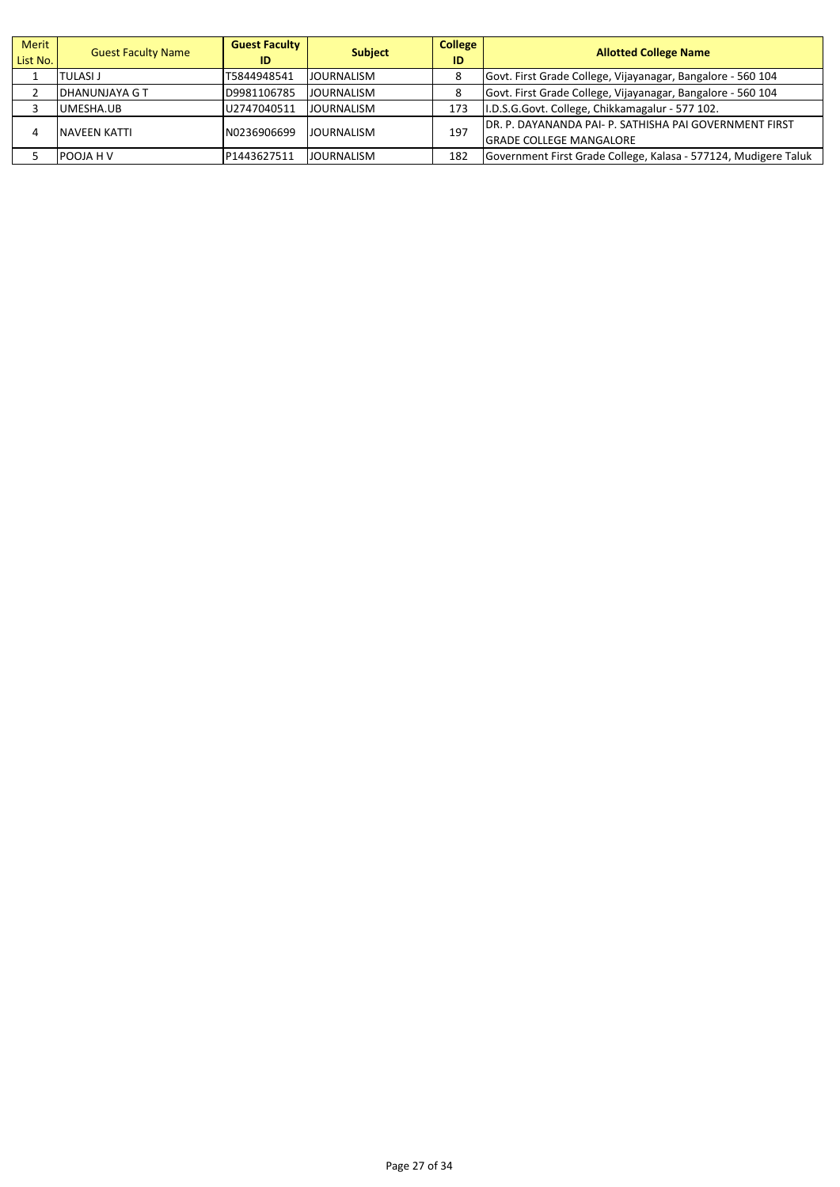| Merit<br>List No. | <b>Guest Faculty Name</b> | <b>Guest Faculty</b><br>ID | <b>Subject</b>    | <b>College</b><br>ID | <b>Allotted College Name</b>                                                              |
|-------------------|---------------------------|----------------------------|-------------------|----------------------|-------------------------------------------------------------------------------------------|
|                   | <b>TULASI J</b>           | T5844948541                | <b>JOURNALISM</b> |                      | Govt. First Grade College, Vijayanagar, Bangalore - 560 104                               |
|                   | <b>DHANUNJAYA G T</b>     | D9981106785                | <b>JOURNALISM</b> | 8                    | Govt. First Grade College, Vijayanagar, Bangalore - 560 104                               |
|                   | UMESHA.UB                 | U2747040511                | JOURNALISM        | 173                  | I.D.S.G.Govt. College, Chikkamagalur - 577 102.                                           |
| 4                 | NAVEEN KATTI              | N0236906699                | <b>JOURNALISM</b> | 197                  | IDR. P. DAYANANDA PAI- P. SATHISHA PAI GOVERNMENT FIRST<br><b>GRADE COLLEGE MANGALORE</b> |
|                   | POOJA H V                 | P1443627511                | <b>JOURNALISM</b> | 182                  | Government First Grade College, Kalasa - 577124, Mudigere Taluk                           |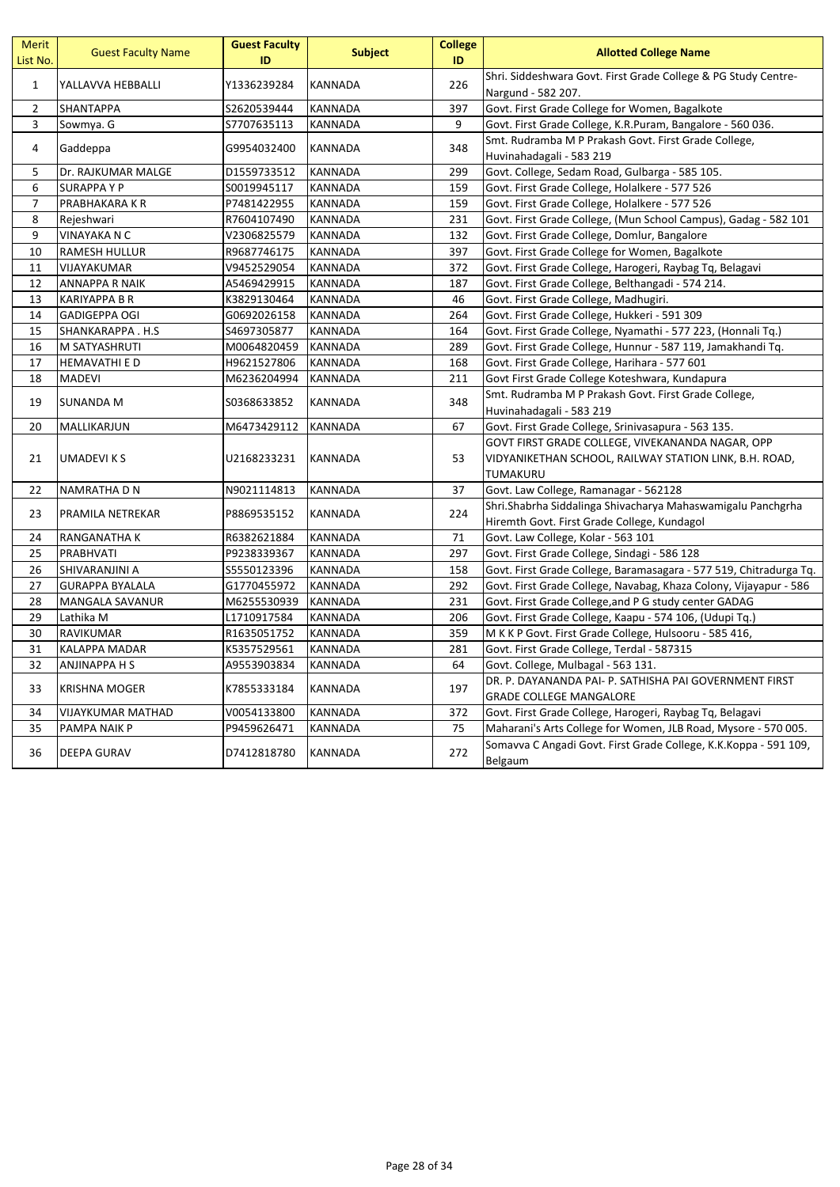| <b>Merit</b><br>List No. | <b>Guest Faculty Name</b> | <b>Guest Faculty</b><br>ID | <b>Subject</b> | <b>College</b><br>ID | <b>Allotted College Name</b>                                                     |
|--------------------------|---------------------------|----------------------------|----------------|----------------------|----------------------------------------------------------------------------------|
| $\mathbf{1}$             | YALLAVVA HEBBALLI         | Y1336239284                | <b>KANNADA</b> | 226                  | Shri. Siddeshwara Govt. First Grade College & PG Study Centre-                   |
|                          |                           |                            |                |                      | Nargund - 582 207.                                                               |
| $\overline{2}$           | <b>SHANTAPPA</b>          | S2620539444                | <b>KANNADA</b> | 397                  | Govt. First Grade College for Women, Bagalkote                                   |
| 3                        | Sowmya. G                 | S7707635113                | <b>KANNADA</b> | 9                    | Govt. First Grade College, K.R.Puram, Bangalore - 560 036.                       |
| 4                        | Gaddeppa                  | G9954032400                | <b>KANNADA</b> | 348                  | Smt. Rudramba M P Prakash Govt. First Grade College,                             |
|                          |                           |                            |                |                      | Huvinahadagali - 583 219                                                         |
| 5                        | Dr. RAJKUMAR MALGE        | D1559733512                | <b>KANNADA</b> | 299                  | Govt. College, Sedam Road, Gulbarga - 585 105.                                   |
| 6                        | <b>SURAPPAYP</b>          | S0019945117                | <b>KANNADA</b> | 159                  | Govt. First Grade College, Holalkere - 577 526                                   |
| $\overline{7}$           | PRABHAKARA K R            | P7481422955                | <b>KANNADA</b> | 159                  | Govt. First Grade College, Holalkere - 577 526                                   |
| 8                        | Rejeshwari                | R7604107490                | KANNADA        | 231                  | Govt. First Grade College, (Mun School Campus), Gadag - 582 101                  |
| 9                        | VINAYAKA N C              | V2306825579                | <b>KANNADA</b> | 132                  | Govt. First Grade College, Domlur, Bangalore                                     |
| 10                       | <b>RAMESH HULLUR</b>      | R9687746175                | KANNADA        | 397                  | Govt. First Grade College for Women, Bagalkote                                   |
| 11                       | VIJAYAKUMAR               | V9452529054                | <b>KANNADA</b> | 372                  | Govt. First Grade College, Harogeri, Raybag Tq, Belagavi                         |
| 12                       | <b>ANNAPPA R NAIK</b>     | A5469429915                | <b>KANNADA</b> | 187                  | Govt. First Grade College, Belthangadi - 574 214.                                |
| 13                       | <b>KARIYAPPA B R</b>      | K3829130464                | <b>KANNADA</b> | 46                   | Govt. First Grade College, Madhugiri.                                            |
| 14                       | <b>GADIGEPPA OGI</b>      | G0692026158                | <b>KANNADA</b> | 264                  | Govt. First Grade College, Hukkeri - 591 309                                     |
| 15                       | SHANKARAPPA.H.S           | S4697305877                | <b>KANNADA</b> | 164                  | Govt. First Grade College, Nyamathi - 577 223, (Honnali Tq.)                     |
| 16                       | M SATYASHRUTI             | M0064820459                | <b>KANNADA</b> | 289                  | Govt. First Grade College, Hunnur - 587 119, Jamakhandi Tq.                      |
| 17                       | <b>HEMAVATHI E D</b>      | H9621527806                | <b>KANNADA</b> | 168                  | Govt. First Grade College, Harihara - 577 601                                    |
| 18                       | <b>MADEVI</b>             | M6236204994                | <b>KANNADA</b> | 211                  | Govt First Grade College Koteshwara, Kundapura                                   |
| 19                       | SUNANDA M                 | \$0368633852               | <b>KANNADA</b> | 348                  | Smt. Rudramba M P Prakash Govt. First Grade College,<br>Huvinahadagali - 583 219 |
| 20                       | MALLIKARJUN               | M6473429112                | <b>KANNADA</b> | 67                   | Govt. First Grade College, Srinivasapura - 563 135.                              |
|                          |                           |                            |                |                      | GOVT FIRST GRADE COLLEGE, VIVEKANANDA NAGAR, OPP                                 |
| 21                       | UMADEVI K S               | U2168233231                | <b>KANNADA</b> | 53                   | VIDYANIKETHAN SCHOOL, RAILWAY STATION LINK, B.H. ROAD,                           |
|                          |                           |                            |                |                      | TUMAKURU                                                                         |
| 22                       | NAMRATHA D N              | N9021114813                | KANNADA        | 37                   | Govt. Law College, Ramanagar - 562128                                            |
|                          |                           |                            |                |                      | Shri.Shabrha Siddalinga Shivacharya Mahaswamigalu Panchgrha                      |
| 23                       | PRAMILA NETREKAR          | P8869535152                | <b>KANNADA</b> | 224                  | Hiremth Govt. First Grade College, Kundagol                                      |
| 24                       | RANGANATHA K              | R6382621884                | <b>KANNADA</b> | 71                   | Govt. Law College, Kolar - 563 101                                               |
| 25                       | PRABHVATI                 | P9238339367                | <b>KANNADA</b> | 297                  | Govt. First Grade College, Sindagi - 586 128                                     |
| 26                       | SHIVARANJINI A            | S5550123396                | <b>KANNADA</b> | 158                  | Govt. First Grade College, Baramasagara - 577 519, Chitradurga Tq.               |
| 27                       | <b>GURAPPA BYALALA</b>    | G1770455972                | <b>KANNADA</b> | 292                  | Govt. First Grade College, Navabag, Khaza Colony, Vijayapur - 586                |
| 28                       | <b>MANGALA SAVANUR</b>    | M6255530939                | <b>KANNADA</b> | 231                  | Govt. First Grade College, and P G study center GADAG                            |
| 29                       | Lathika M                 | L1710917584                | KANNADA        | 206                  | Govt. First Grade College, Kaapu - 574 106, (Udupi Tq.)                          |
| 30                       | RAVIKUMAR                 | R1635051752                | <b>KANNADA</b> | 359                  | M K K P Govt. First Grade College, Hulsooru - 585 416,                           |
| 31                       | <b>KALAPPA MADAR</b>      | K5357529561                | <b>KANNADA</b> | 281                  | Govt. First Grade College, Terdal - 587315                                       |
| 32                       | ANJINAPPA H S             | A9553903834                | KANNADA        | 64                   | Govt. College, Mulbagal - 563 131.                                               |
|                          |                           |                            |                |                      | DR. P. DAYANANDA PAI- P. SATHISHA PAI GOVERNMENT FIRST                           |
| 33                       | <b>KRISHNA MOGER</b>      | K7855333184                | KANNADA        | 197                  | <b>GRADE COLLEGE MANGALORE</b>                                                   |
| 34                       | VIJAYKUMAR MATHAD         | V0054133800                | KANNADA        | 372                  | Govt. First Grade College, Harogeri, Raybag Tq, Belagavi                         |
| 35                       | PAMPA NAIK P              | P9459626471                | <b>KANNADA</b> | 75                   | Maharani's Arts College for Women, JLB Road, Mysore - 570 005.                   |
|                          |                           |                            |                |                      | Somavva C Angadi Govt. First Grade College, K.K.Koppa - 591 109,                 |
| 36                       | <b>DEEPA GURAV</b>        | D7412818780                | KANNADA        | 272                  | Belgaum                                                                          |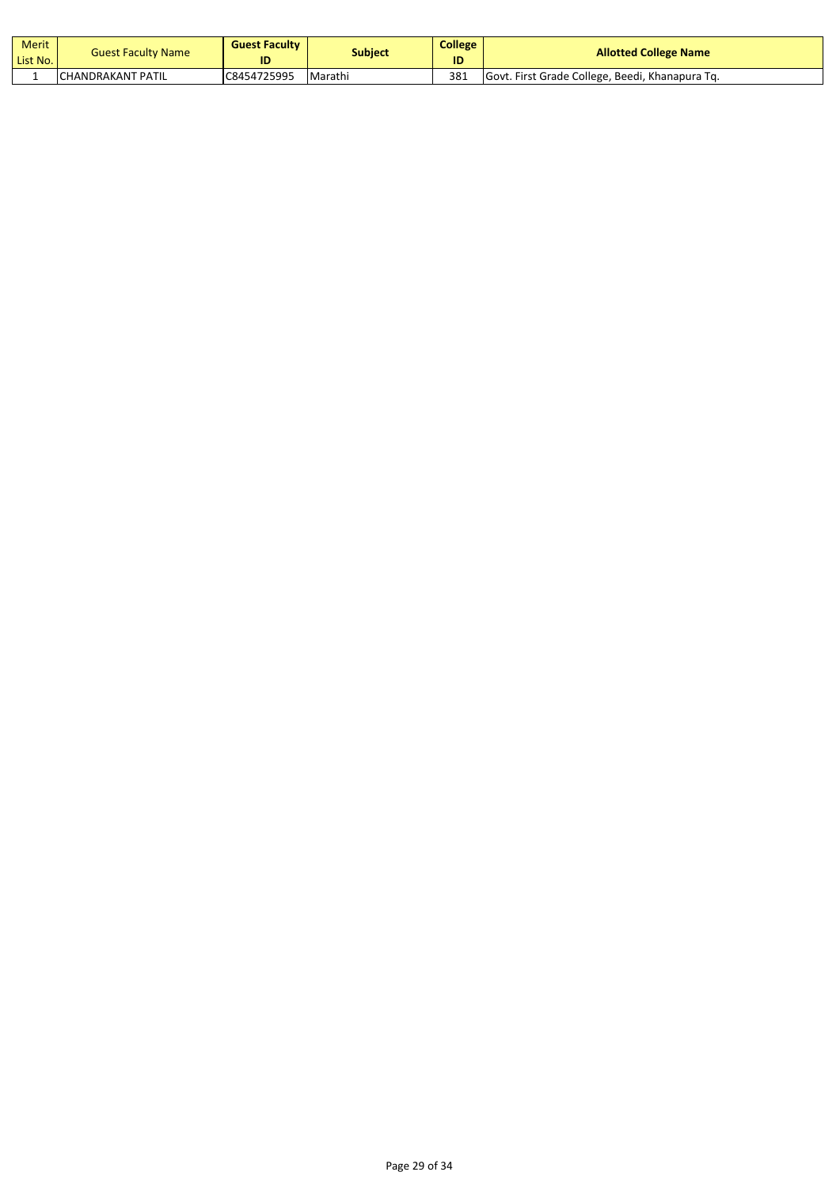| Merit<br>List No. | <b>Guest Faculty Name</b> | <b>Guest Faculty</b><br>ID | Subject | <b>College</b><br>ID | <b>Allotted College Name</b>                    |
|-------------------|---------------------------|----------------------------|---------|----------------------|-------------------------------------------------|
|                   | <b>ICHANDRAKANT PATIL</b> | C8454725995                | Marathi | 381                  | Govt. First Grade College, Beedi, Khanapura Tq. |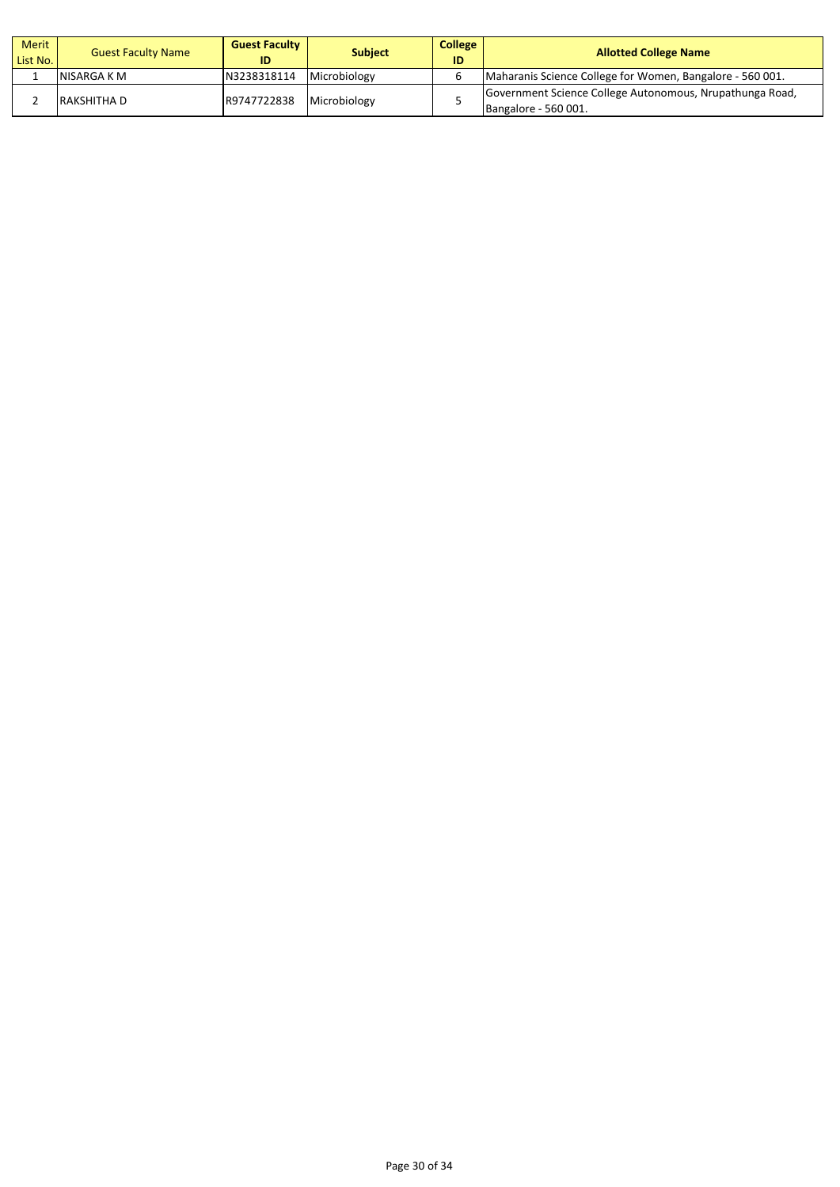| Merit<br>List No. | <b>Guest Faculty Name</b> | <b>Guest Faculty</b><br>ID | <b>Subject</b> | <b>College</b><br>ID | <b>Allotted College Name</b>                                                     |
|-------------------|---------------------------|----------------------------|----------------|----------------------|----------------------------------------------------------------------------------|
|                   | INISARGA K M              | N3238318114                | Microbiology   |                      | Maharanis Science College for Women, Bangalore - 560 001.                        |
|                   | IRAKSHITHA D              | R9747722838                | Microbiology   |                      | Government Science College Autonomous, Nrupathunga Road,<br>Bangalore - 560 001. |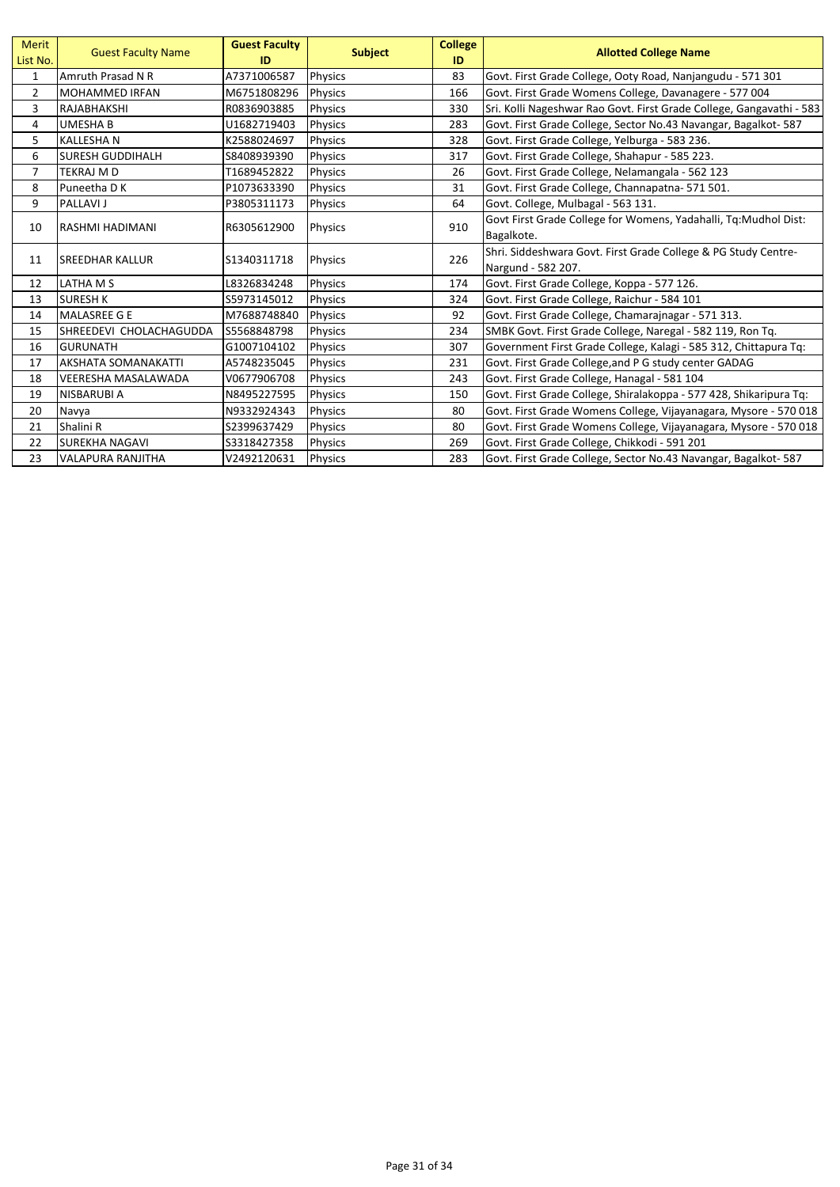| Merit<br>List No. | <b>Guest Faculty Name</b>  | <b>Guest Faculty</b><br>ID | <b>Subject</b> | <b>College</b><br>ID | <b>Allotted College Name</b>                                         |
|-------------------|----------------------------|----------------------------|----------------|----------------------|----------------------------------------------------------------------|
| $\mathbf{1}$      | Amruth Prasad N R          | A7371006587                | Physics        | 83                   | Govt. First Grade College, Ooty Road, Nanjangudu - 571 301           |
| $\overline{2}$    | <b>MOHAMMED IRFAN</b>      | M6751808296                | <b>Physics</b> | 166                  | Govt. First Grade Womens College, Davanagere - 577 004               |
| 3                 | <b>RAJABHAKSHI</b>         | R0836903885                | <b>Physics</b> | 330                  | Sri. Kolli Nageshwar Rao Govt. First Grade College, Gangavathi - 583 |
| 4                 | <b>UMESHA B</b>            | U1682719403                | Physics        | 283                  | Govt. First Grade College, Sector No.43 Navangar, Bagalkot-587       |
| 5                 | KALLESHA N                 | K2588024697                | Physics        | 328                  | Govt. First Grade College, Yelburga - 583 236.                       |
| 6                 | <b>SURESH GUDDIHALH</b>    | S8408939390                | <b>Physics</b> | 317                  | Govt. First Grade College, Shahapur - 585 223.                       |
| $\overline{7}$    | <b>TEKRAJ M D</b>          | T1689452822                | Physics        | 26                   | Govt. First Grade College, Nelamangala - 562 123                     |
| 8                 | Puneetha D K               | P1073633390                | Physics        | 31                   | Govt. First Grade College, Channapatna- 571 501.                     |
| 9                 | <b>PALLAVI J</b>           | P3805311173                | Physics        | 64                   | Govt. College, Mulbagal - 563 131.                                   |
| 10                | <b>RASHMI HADIMANI</b>     | R6305612900                |                | 910                  | Govt First Grade College for Womens, Yadahalli, Tq:Mudhol Dist:      |
|                   |                            |                            | <b>Physics</b> |                      | Bagalkote.                                                           |
| 11                | <b>ISREEDHAR KALLUR</b>    | S1340311718                |                | 226                  | Shri. Siddeshwara Govt. First Grade College & PG Study Centre-       |
|                   |                            |                            | Physics        |                      | Nargund - 582 207.                                                   |
| 12                | LATHA M S                  | L8326834248                | Physics        | 174                  | Govt. First Grade College, Koppa - 577 126.                          |
| 13                | <b>SURESH K</b>            | S5973145012                | <b>Physics</b> | 324                  | Govt. First Grade College, Raichur - 584 101                         |
| 14                | <b>MALASREE G E</b>        | M7688748840                | Physics        | 92                   | Govt. First Grade College, Chamarainagar - 571 313.                  |
| 15                | ISHREEDEVI CHOLACHAGUDDA   | S5568848798                | <b>Physics</b> | 234                  | SMBK Govt. First Grade College, Naregal - 582 119, Ron Tq.           |
| 16                | <b>GURUNATH</b>            | G1007104102                | <b>Physics</b> | 307                  | Government First Grade College, Kalagi - 585 312, Chittapura Tq:     |
| 17                | <b>AKSHATA SOMANAKATTI</b> | A5748235045                | Physics        | 231                  | Govt. First Grade College, and P G study center GADAG                |
| 18                | <b>VEERESHA MASALAWADA</b> | V0677906708                | <b>Physics</b> | 243                  | Govt. First Grade College, Hanagal - 581 104                         |
| 19                | <b>NISBARUBI A</b>         | N8495227595                | <b>Physics</b> | 150                  | Govt. First Grade College, Shiralakoppa - 577 428, Shikaripura Tq:   |
| 20                | Navya                      | N9332924343                | <b>Physics</b> | 80                   | Govt. First Grade Womens College, Vijayanagara, Mysore - 570 018     |
| 21                | Shalini R                  | S2399637429                | Physics        | 80                   | Govt. First Grade Womens College, Vijayanagara, Mysore - 570 018     |
| 22                | ISUREKHA NAGAVI            | S3318427358                | <b>Physics</b> | 269                  | Govt. First Grade College, Chikkodi - 591 201                        |
| 23                | VALAPURA RANJITHA          | V2492120631                | <b>Physics</b> | 283                  | Govt. First Grade College, Sector No.43 Navangar, Bagalkot-587       |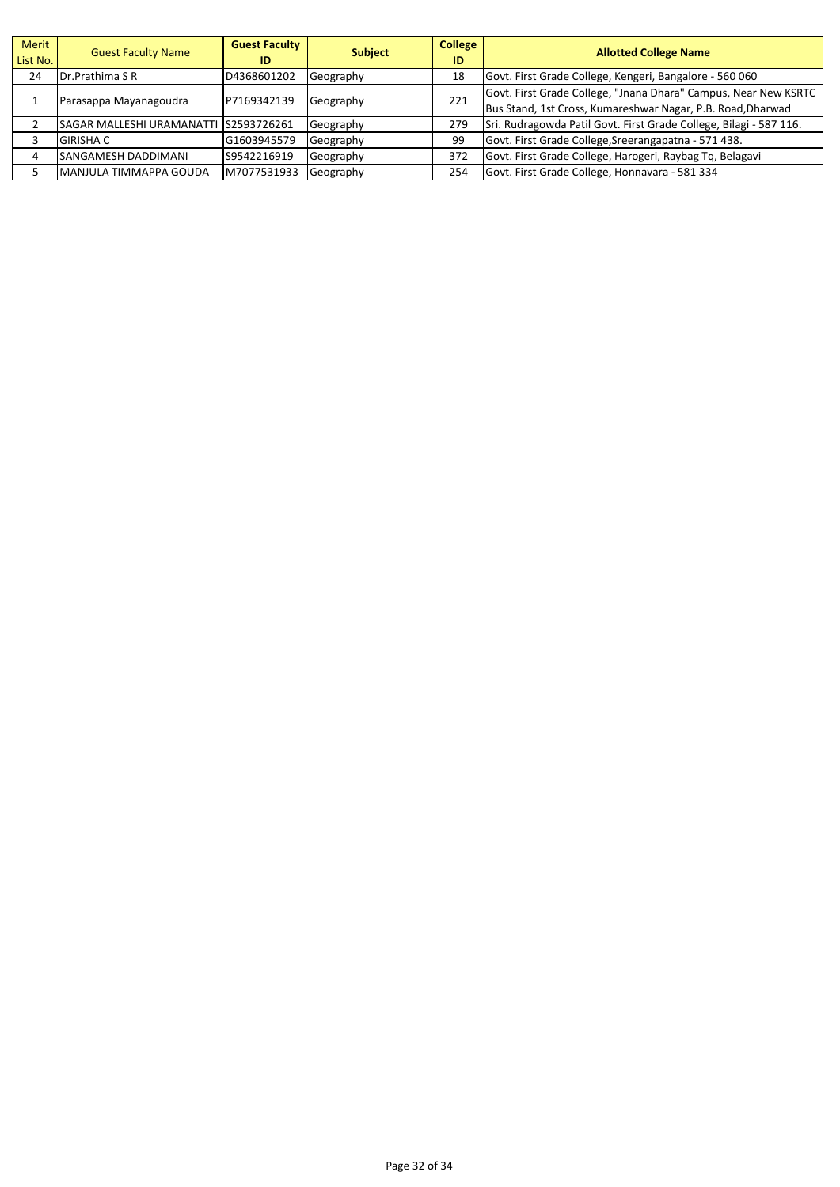| Merit<br>List No. | <b>Guest Faculty Name</b>                          | <b>Guest Faculty</b><br>ID | <b>Subject</b>                                                  | <b>College</b><br>ID | <b>Allotted College Name</b>                                       |
|-------------------|----------------------------------------------------|----------------------------|-----------------------------------------------------------------|----------------------|--------------------------------------------------------------------|
| 24                | <b>IDr.Prathima S R</b>                            | D4368601202                | Geography                                                       | 18                   | Govt. First Grade College, Kengeri, Bangalore - 560 060            |
|                   | Parasappa Mayanagoudra<br>P7169342139<br>Geography | 221                        | Govt. First Grade College, "Jnana Dhara" Campus, Near New KSRTC |                      |                                                                    |
|                   |                                                    |                            |                                                                 |                      | Bus Stand, 1st Cross, Kumareshwar Nagar, P.B. Road, Dharwad        |
|                   | SAGAR MALLESHI URAMANATTI IS2593726261             |                            | Geography                                                       | 279                  | Sri. Rudragowda Patil Govt. First Grade College, Bilagi - 587 116. |
|                   | <b>GIRISHA C</b>                                   | G1603945579                | Geography                                                       | 99                   | Govt. First Grade College, Sreerangapatna - 571 438.               |
|                   | <b>SANGAMESH DADDIMANI</b>                         | S9542216919                | Geography                                                       | 372                  | Govt. First Grade College, Harogeri, Raybag Tq, Belagavi           |
|                   | IMANJULA TIMMAPPA GOUDA                            | M7077531933                | Geography                                                       | 254                  | Govt. First Grade College, Honnavara - 581 334                     |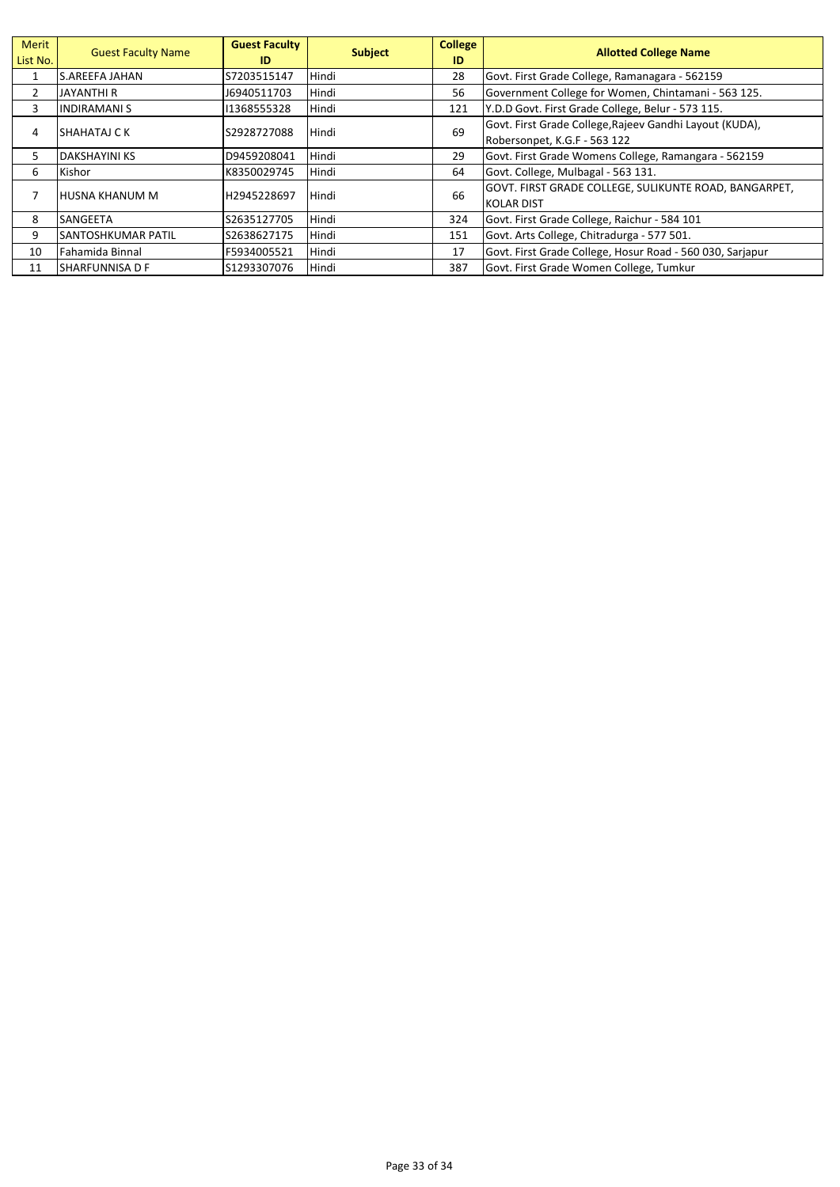| Merit<br>List No. | <b>Guest Faculty Name</b> | <b>Guest Faculty</b><br>ID | <b>Subject</b> | <b>College</b><br>ID | <b>Allotted College Name</b>                                               |
|-------------------|---------------------------|----------------------------|----------------|----------------------|----------------------------------------------------------------------------|
| $\mathbf{1}$      | lS.AREEFA JAHAN           | S7203515147                | Hindi          | 28                   | Govt. First Grade College, Ramanagara - 562159                             |
| 2                 | JAYANTHI R                | J6940511703                | Hindi          | 56                   | Government College for Women, Chintamani - 563 125.                        |
| 3                 | INDIRAMANI S              | 11368555328                | Hindi          | 121                  | Y.D.D Govt. First Grade College, Belur - 573 115.                          |
| 4                 | ISHAHATAJ C K             | S2928727088                | Hindi          | 69                   | Govt. First Grade College, Rajeev Gandhi Layout (KUDA),                    |
|                   |                           |                            |                |                      | Robersonpet, K.G.F - 563 122                                               |
| 5                 | IDAKSHAYINI KS            | D9459208041                | Hindi          | 29                   | Govt. First Grade Womens College, Ramangara - 562159                       |
| 6                 | Kishor                    | K8350029745                | Hindi          | 64                   | Govt. College, Mulbagal - 563 131.                                         |
| 7                 | <b>HUSNA KHANUM M</b>     | H2945228697                | Hindi          | 66                   | GOVT. FIRST GRADE COLLEGE, SULIKUNTE ROAD, BANGARPET,<br><b>KOLAR DIST</b> |
| 8                 | <b>SANGEETA</b>           | S2635127705                | Hindi          | 324                  | Govt. First Grade College, Raichur - 584 101                               |
| 9                 | <b>SANTOSHKUMAR PATIL</b> | S2638627175                | Hindi          | 151                  | Govt. Arts College, Chitradurga - 577 501.                                 |
| 10                | Fahamida Binnal           | F5934005521                | Hindi          | 17                   | Govt. First Grade College, Hosur Road - 560 030, Sarjapur                  |
| 11                | <b>SHARFUNNISA D F</b>    | S1293307076                | Hindi          | 387                  | Govt. First Grade Women College, Tumkur                                    |